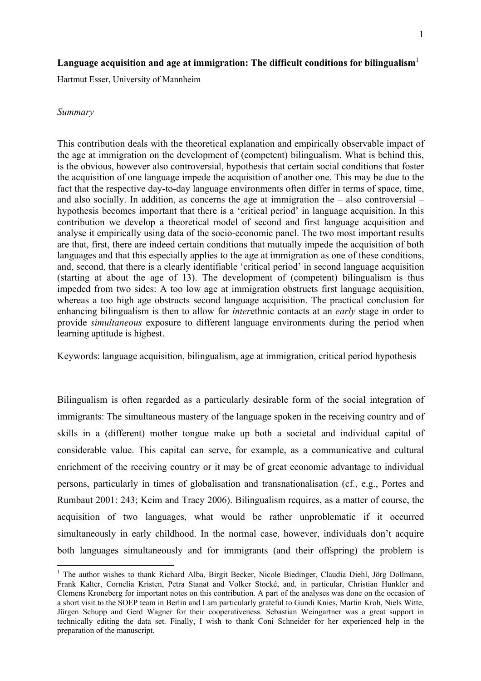# Language acquisition and age at immigration: The difficult conditions for bilingualism<sup>1</sup>

Hartmut Esser, University of Mannheim

## *Summary*

1

This contribution deals with the theoretical explanation and empirically observable impact of the age at immigration on the development of (competent) bilingualism. What is behind this, is the obvious, however also controversial, hypothesis that certain social conditions that foster the acquisition of one language impede the acquisition of another one. This may be due to the fact that the respective day-to-day language environments often differ in terms of space, time, and also socially. In addition, as concerns the age at immigration the – also controversial – hypothesis becomes important that there is a 'critical period' in language acquisition. In this contribution we develop a theoretical model of second and first language acquisition and analyse it empirically using data of the socio-economic panel. The two most important results are that, first, there are indeed certain conditions that mutually impede the acquisition of both languages and that this especially applies to the age at immigration as one of these conditions, and, second, that there is a clearly identifiable 'critical period' in second language acquisition (starting at about the age of 13). The development of (competent) bilingualism is thus impeded from two sides: A too low age at immigration obstructs first language acquisition, whereas a too high age obstructs second language acquisition. The practical conclusion for enhancing bilingualism is then to allow for *inter*ethnic contacts at an *early* stage in order to provide *simultaneous* exposure to different language environments during the period when learning aptitude is highest.

Keywords: language acquisition, bilingualism, age at immigration, critical period hypothesis

Bilingualism is often regarded as a particularly desirable form of the social integration of immigrants: The simultaneous mastery of the language spoken in the receiving country and of skills in a (different) mother tongue make up both a societal and individual capital of considerable value. This capital can serve, for example, as a communicative and cultural enrichment of the receiving country or it may be of great economic advantage to individual persons, particularly in times of globalisation and transnationalisation (cf., e.g., Portes and Rumbaut 2001: 243; Keim and Tracy 2006). Bilingualism requires, as a matter of course, the acquisition of two languages, what would be rather unproblematic if it occurred simultaneously in early childhood. In the normal case, however, individuals don't acquire both languages simultaneously and for immigrants (and their offspring) the problem is

<sup>&</sup>lt;sup>1</sup> The author wishes to thank Richard Alba, Birgit Becker, Nicole Biedinger, Claudia Diehl, Jörg Dollmann, Frank Kalter, Cornelia Kristen, Petra Stanat and Volker Stocké, and, in particular, Christian Hunkler and Clemens Kroneberg for important notes on this contribution. A part of the analyses was done on the occasion of a short visit to the SOEP team in Berlin and I am particularly grateful to Gundi Knies, Martin Kroh, Niels Witte, Jürgen Schupp and Gerd Wagner for their cooperativeness. Sebastian Weingartner was a great support in technically editing the data set. Finally, I wish to thank Coni Schneider for her experienced help in the preparation of the manuscript.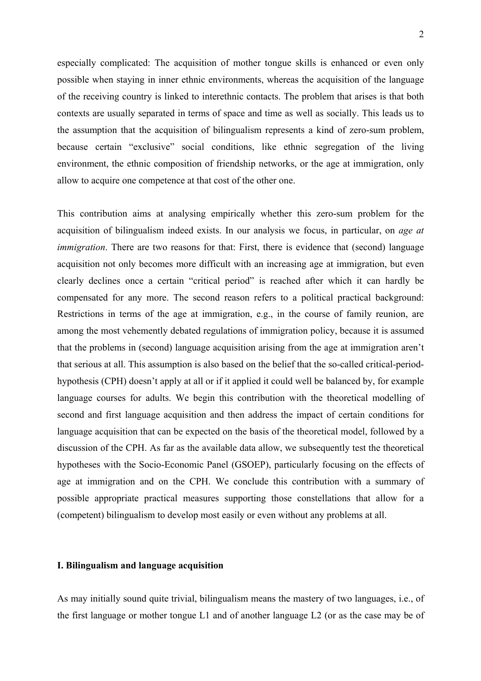especially complicated: The acquisition of mother tongue skills is enhanced or even only possible when staying in inner ethnic environments, whereas the acquisition of the language of the receiving country is linked to interethnic contacts. The problem that arises is that both contexts are usually separated in terms of space and time as well as socially. This leads us to the assumption that the acquisition of bilingualism represents a kind of zero-sum problem, because certain "exclusive" social conditions, like ethnic segregation of the living environment, the ethnic composition of friendship networks, or the age at immigration, only allow to acquire one competence at that cost of the other one.

This contribution aims at analysing empirically whether this zero-sum problem for the acquisition of bilingualism indeed exists. In our analysis we focus, in particular, on *age at immigration*. There are two reasons for that: First, there is evidence that (second) language acquisition not only becomes more difficult with an increasing age at immigration, but even clearly declines once a certain "critical period" is reached after which it can hardly be compensated for any more. The second reason refers to a political practical background: Restrictions in terms of the age at immigration, e.g., in the course of family reunion, are among the most vehemently debated regulations of immigration policy, because it is assumed that the problems in (second) language acquisition arising from the age at immigration aren't that serious at all. This assumption is also based on the belief that the so-called critical-periodhypothesis (CPH) doesn't apply at all or if it applied it could well be balanced by, for example language courses for adults. We begin this contribution with the theoretical modelling of second and first language acquisition and then address the impact of certain conditions for language acquisition that can be expected on the basis of the theoretical model, followed by a discussion of the CPH. As far as the available data allow, we subsequently test the theoretical hypotheses with the Socio-Economic Panel (GSOEP), particularly focusing on the effects of age at immigration and on the CPH. We conclude this contribution with a summary of possible appropriate practical measures supporting those constellations that allow for a (competent) bilingualism to develop most easily or even without any problems at all.

## **I. Bilingualism and language acquisition**

As may initially sound quite trivial, bilingualism means the mastery of two languages, i.e., of the first language or mother tongue L1 and of another language L2 (or as the case may be of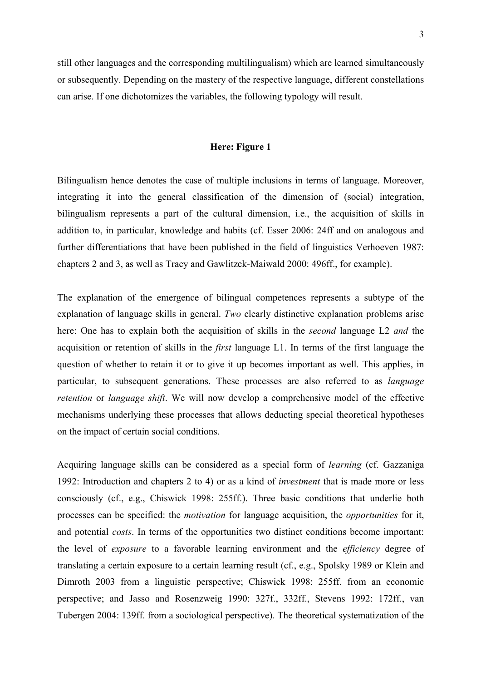still other languages and the corresponding multilingualism) which are learned simultaneously or subsequently. Depending on the mastery of the respective language, different constellations can arise. If one dichotomizes the variables, the following typology will result.

# **Here: Figure 1**

Bilingualism hence denotes the case of multiple inclusions in terms of language. Moreover, integrating it into the general classification of the dimension of (social) integration, bilingualism represents a part of the cultural dimension, i.e., the acquisition of skills in addition to, in particular, knowledge and habits (cf. Esser 2006: 24ff and on analogous and further differentiations that have been published in the field of linguistics Verhoeven 1987: chapters 2 and 3, as well as Tracy and Gawlitzek-Maiwald 2000: 496ff., for example).

The explanation of the emergence of bilingual competences represents a subtype of the explanation of language skills in general. *Two* clearly distinctive explanation problems arise here: One has to explain both the acquisition of skills in the *second* language L2 *and* the acquisition or retention of skills in the *first* language L1. In terms of the first language the question of whether to retain it or to give it up becomes important as well. This applies, in particular, to subsequent generations. These processes are also referred to as *language retention* or *language shift*. We will now develop a comprehensive model of the effective mechanisms underlying these processes that allows deducting special theoretical hypotheses on the impact of certain social conditions.

Acquiring language skills can be considered as a special form of *learning* (cf. Gazzaniga 1992: Introduction and chapters 2 to 4) or as a kind of *investment* that is made more or less consciously (cf., e.g., Chiswick 1998: 255ff.). Three basic conditions that underlie both processes can be specified: the *motivation* for language acquisition, the *opportunities* for it, and potential *costs*. In terms of the opportunities two distinct conditions become important: the level of *exposure* to a favorable learning environment and the *efficiency* degree of translating a certain exposure to a certain learning result (cf., e.g., Spolsky 1989 or Klein and Dimroth 2003 from a linguistic perspective; Chiswick 1998: 255ff. from an economic perspective; and Jasso and Rosenzweig 1990: 327f., 332ff., Stevens 1992: 172ff., van Tubergen 2004: 139ff. from a sociological perspective). The theoretical systematization of the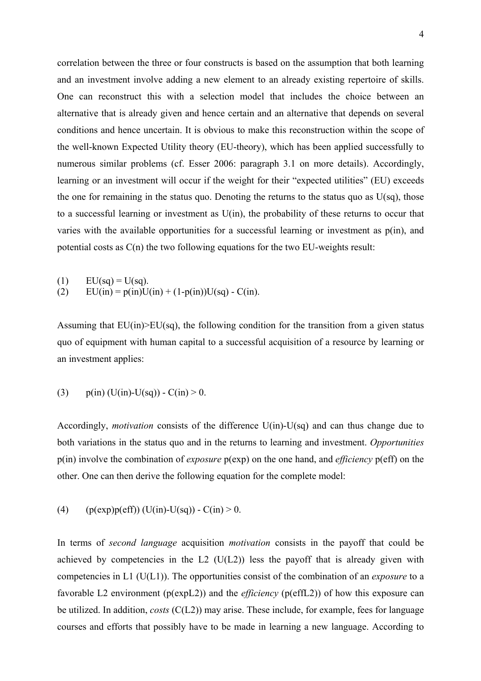correlation between the three or four constructs is based on the assumption that both learning and an investment involve adding a new element to an already existing repertoire of skills. One can reconstruct this with a selection model that includes the choice between an alternative that is already given and hence certain and an alternative that depends on several conditions and hence uncertain. It is obvious to make this reconstruction within the scope of the well-known Expected Utility theory (EU-theory), which has been applied successfully to numerous similar problems (cf. Esser 2006: paragraph 3.1 on more details). Accordingly, learning or an investment will occur if the weight for their "expected utilities" (EU) exceeds the one for remaining in the status quo. Denoting the returns to the status quo as  $U(sq)$ , those to a successful learning or investment as U(in), the probability of these returns to occur that varies with the available opportunities for a successful learning or investment as p(in), and potential costs as C(n) the two following equations for the two EU-weights result:

(1)  $EU(sq) = U(sq)$ . (2)  $EU(in) = p(in)U(in) + (1-p(in))U(sq) - C(in).$ 

Assuming that  $EU(in) \geq EU(sq)$ , the following condition for the transition from a given status quo of equipment with human capital to a successful acquisition of a resource by learning or an investment applies:

(3) 
$$
p(in)
$$
 (U(in)-U(sq)) - C(in) > 0.

Accordingly, *motivation* consists of the difference U(in)-U(sq) and can thus change due to both variations in the status quo and in the returns to learning and investment. *Opportunities* p(in) involve the combination of *exposure* p(exp) on the one hand, and *efficiency* p(eff) on the other. One can then derive the following equation for the complete model:

(4) 
$$
(p(exp)p(eff))(U(in)-U(sq)) - C(in) > 0.
$$

In terms of *second language* acquisition *motivation* consists in the payoff that could be achieved by competencies in the L2  $(U(L2))$  less the payoff that is already given with competencies in L1 (U(L1)). The opportunities consist of the combination of an *exposure* to a favorable L2 environment (p(expL2)) and the *efficiency* (p(effL2)) of how this exposure can be utilized. In addition, *costs* (C(L2)) may arise. These include, for example, fees for language courses and efforts that possibly have to be made in learning a new language. According to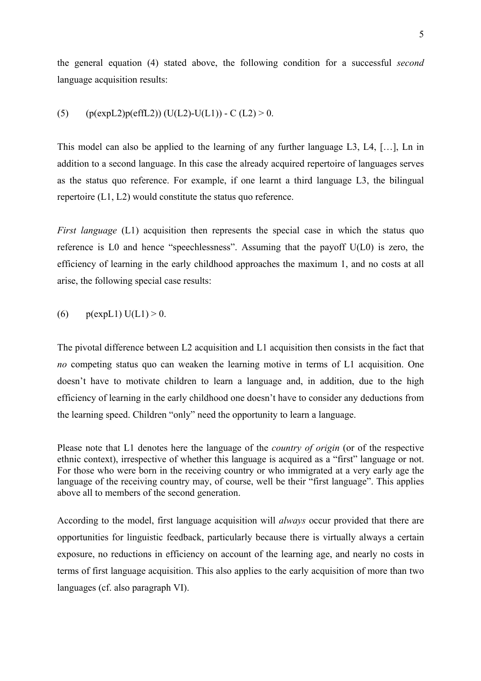the general equation (4) stated above, the following condition for a successful *second* language acquisition results:

# (5)  $(p(expL2)p(effL2))$  (U(L2)-U(L1)) - C (L2) > 0.

This model can also be applied to the learning of any further language L3, L4, [...]. Ln in addition to a second language. In this case the already acquired repertoire of languages serves as the status quo reference. For example, if one learnt a third language L3, the bilingual repertoire (L1, L2) would constitute the status quo reference.

*First language* (L1) acquisition then represents the special case in which the status quo reference is L0 and hence "speechlessness". Assuming that the payoff U(L0) is zero, the efficiency of learning in the early childhood approaches the maximum 1, and no costs at all arise, the following special case results:

(6) 
$$
p(expL1) U(L1) > 0.
$$

The pivotal difference between L2 acquisition and L1 acquisition then consists in the fact that *no* competing status quo can weaken the learning motive in terms of L1 acquisition. One doesn't have to motivate children to learn a language and, in addition, due to the high efficiency of learning in the early childhood one doesn't have to consider any deductions from the learning speed. Children "only" need the opportunity to learn a language.

Please note that L1 denotes here the language of the *country of origin* (or of the respective ethnic context), irrespective of whether this language is acquired as a "first" language or not. For those who were born in the receiving country or who immigrated at a very early age the language of the receiving country may, of course, well be their "first language". This applies above all to members of the second generation.

According to the model, first language acquisition will *always* occur provided that there are opportunities for linguistic feedback, particularly because there is virtually always a certain exposure, no reductions in efficiency on account of the learning age, and nearly no costs in terms of first language acquisition. This also applies to the early acquisition of more than two languages (cf. also paragraph VI).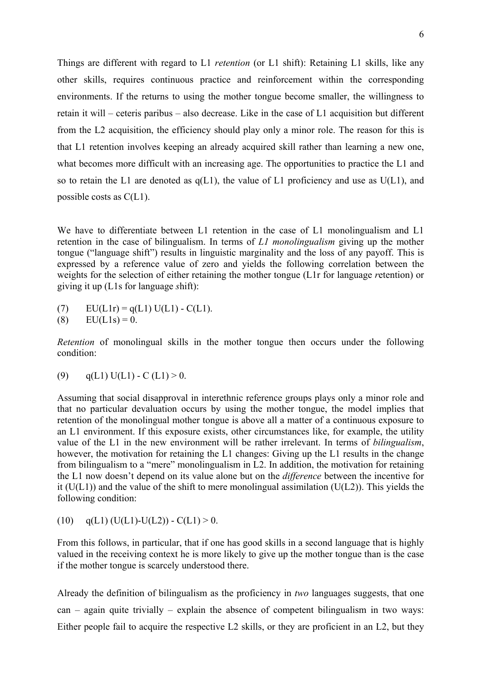Things are different with regard to L1 *retention* (or L1 shift): Retaining L1 skills, like any other skills, requires continuous practice and reinforcement within the corresponding environments. If the returns to using the mother tongue become smaller, the willingness to retain it will – ceteris paribus – also decrease. Like in the case of L1 acquisition but different from the L2 acquisition, the efficiency should play only a minor role. The reason for this is that L1 retention involves keeping an already acquired skill rather than learning a new one, what becomes more difficult with an increasing age. The opportunities to practice the L1 and so to retain the L1 are denoted as  $q(L1)$ , the value of L1 proficiency and use as  $U(L1)$ , and possible costs as C(L1).

We have to differentiate between L1 retention in the case of L1 monolingualism and L1 retention in the case of bilingualism. In terms of *L1 monolingualism* giving up the mother tongue ("language shift") results in linguistic marginality and the loss of any payoff. This is expressed by a reference value of zero and yields the following correlation between the weights for the selection of either retaining the mother tongue (L1r for language *r*etention) or giving it up (L1s for language *s*hift):

- (7)  $EU(L1r) = q(L1) U(L1) C(L1).$
- (8)  $\text{EU}(L1\text{s}) = 0.$

*Retention* of monolingual skills in the mother tongue then occurs under the following condition:

(9)  $q(L1) U(L1) - C(L1) > 0.$ 

Assuming that social disapproval in interethnic reference groups plays only a minor role and that no particular devaluation occurs by using the mother tongue, the model implies that retention of the monolingual mother tongue is above all a matter of a continuous exposure to an L1 environment. If this exposure exists, other circumstances like, for example, the utility value of the L1 in the new environment will be rather irrelevant. In terms of *bilingualism*, however, the motivation for retaining the L1 changes: Giving up the L1 results in the change from bilingualism to a "mere" monolingualism in L2. In addition, the motivation for retaining the L1 now doesn't depend on its value alone but on the *difference* between the incentive for it  $(U(L1))$  and the value of the shift to mere monolingual assimilation  $(U(L2))$ . This yields the following condition:

(10)  $q(L1) (U(L1)-U(L2)) - C(L1) > 0.$ 

From this follows, in particular, that if one has good skills in a second language that is highly valued in the receiving context he is more likely to give up the mother tongue than is the case if the mother tongue is scarcely understood there.

Already the definition of bilingualism as the proficiency in *two* languages suggests, that one  $can$  – again quite trivially – explain the absence of competent bilingualism in two ways: Either people fail to acquire the respective L2 skills, or they are proficient in an L2, but they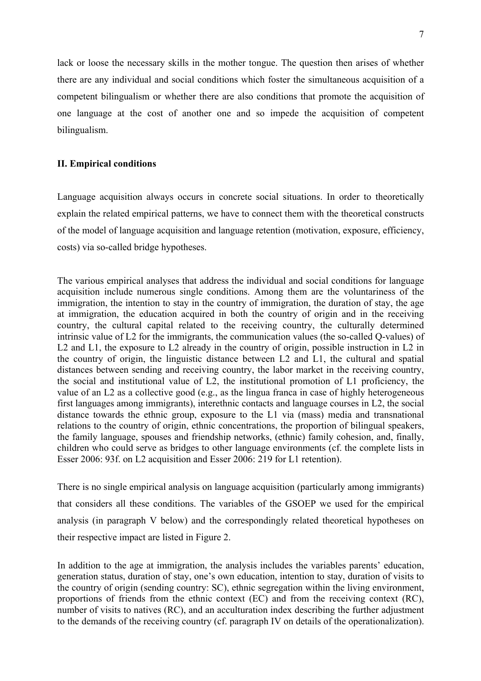lack or loose the necessary skills in the mother tongue. The question then arises of whether there are any individual and social conditions which foster the simultaneous acquisition of a competent bilingualism or whether there are also conditions that promote the acquisition of one language at the cost of another one and so impede the acquisition of competent bilingualism.

## **II. Empirical conditions**

Language acquisition always occurs in concrete social situations. In order to theoretically explain the related empirical patterns, we have to connect them with the theoretical constructs of the model of language acquisition and language retention (motivation, exposure, efficiency, costs) via so-called bridge hypotheses.

The various empirical analyses that address the individual and social conditions for language acquisition include numerous single conditions. Among them are the voluntariness of the immigration, the intention to stay in the country of immigration, the duration of stay, the age at immigration, the education acquired in both the country of origin and in the receiving country, the cultural capital related to the receiving country, the culturally determined intrinsic value of L2 for the immigrants, the communication values (the so-called Q-values) of L2 and L1, the exposure to L2 already in the country of origin, possible instruction in L2 in the country of origin, the linguistic distance between L2 and L1, the cultural and spatial distances between sending and receiving country, the labor market in the receiving country, the social and institutional value of L2, the institutional promotion of L1 proficiency, the value of an L2 as a collective good (e.g., as the lingua franca in case of highly heterogeneous first languages among immigrants), interethnic contacts and language courses in L2, the social distance towards the ethnic group, exposure to the L1 via (mass) media and transnational relations to the country of origin, ethnic concentrations, the proportion of bilingual speakers, the family language, spouses and friendship networks, (ethnic) family cohesion, and, finally, children who could serve as bridges to other language environments (cf. the complete lists in Esser 2006: 93f. on L2 acquisition and Esser 2006: 219 for L1 retention).

There is no single empirical analysis on language acquisition (particularly among immigrants) that considers all these conditions. The variables of the GSOEP we used for the empirical analysis (in paragraph V below) and the correspondingly related theoretical hypotheses on their respective impact are listed in Figure 2.

In addition to the age at immigration, the analysis includes the variables parents' education, generation status, duration of stay, one's own education, intention to stay, duration of visits to the country of origin (sending country: SC), ethnic segregation within the living environment, proportions of friends from the ethnic context (EC) and from the receiving context (RC), number of visits to natives (RC), and an acculturation index describing the further adjustment to the demands of the receiving country (cf. paragraph IV on details of the operationalization).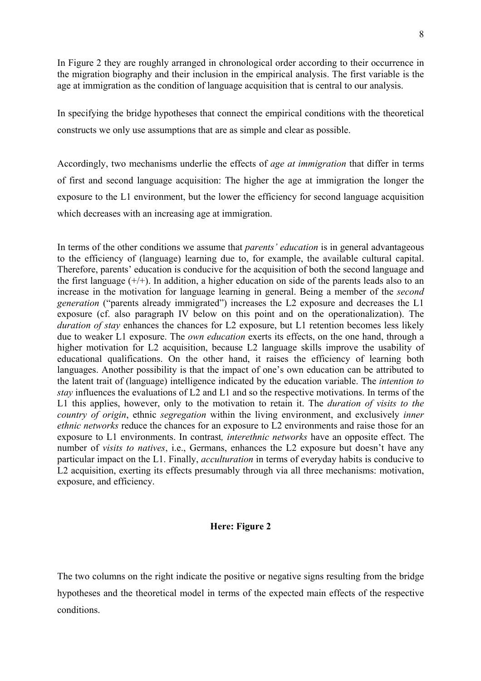In Figure 2 they are roughly arranged in chronological order according to their occurrence in the migration biography and their inclusion in the empirical analysis. The first variable is the age at immigration as the condition of language acquisition that is central to our analysis.

In specifying the bridge hypotheses that connect the empirical conditions with the theoretical constructs we only use assumptions that are as simple and clear as possible.

Accordingly, two mechanisms underlie the effects of *age at immigration* that differ in terms of first and second language acquisition: The higher the age at immigration the longer the exposure to the L1 environment, but the lower the efficiency for second language acquisition which decreases with an increasing age at immigration.

In terms of the other conditions we assume that *parents' education* is in general advantageous to the efficiency of (language) learning due to, for example, the available cultural capital. Therefore, parents' education is conducive for the acquisition of both the second language and the first language  $(+/+)$ . In addition, a higher education on side of the parents leads also to an increase in the motivation for language learning in general. Being a member of the *second generation* ("parents already immigrated") increases the L2 exposure and decreases the L1 exposure (cf. also paragraph IV below on this point and on the operationalization). The *duration of stay* enhances the chances for L2 exposure, but L1 retention becomes less likely due to weaker L1 exposure. The *own education* exerts its effects, on the one hand, through a higher motivation for L2 acquisition, because L2 language skills improve the usability of educational qualifications. On the other hand, it raises the efficiency of learning both languages. Another possibility is that the impact of one's own education can be attributed to the latent trait of (language) intelligence indicated by the education variable. The *intention to stay* influences the evaluations of L2 and L1 and so the respective motivations. In terms of the L1 this applies, however, only to the motivation to retain it. The *duration of visits to the country of origin*, ethnic *segregation* within the living environment, and exclusively *inner ethnic networks* reduce the chances for an exposure to L2 environments and raise those for an exposure to L1 environments. In contrast*, interethnic networks* have an opposite effect. The number of *visits to natives*, i.e., Germans, enhances the L2 exposure but doesn't have any particular impact on the L1. Finally, *acculturation* in terms of everyday habits is conducive to L2 acquisition, exerting its effects presumably through via all three mechanisms: motivation, exposure, and efficiency.

# **Here: Figure 2**

The two columns on the right indicate the positive or negative signs resulting from the bridge hypotheses and the theoretical model in terms of the expected main effects of the respective conditions.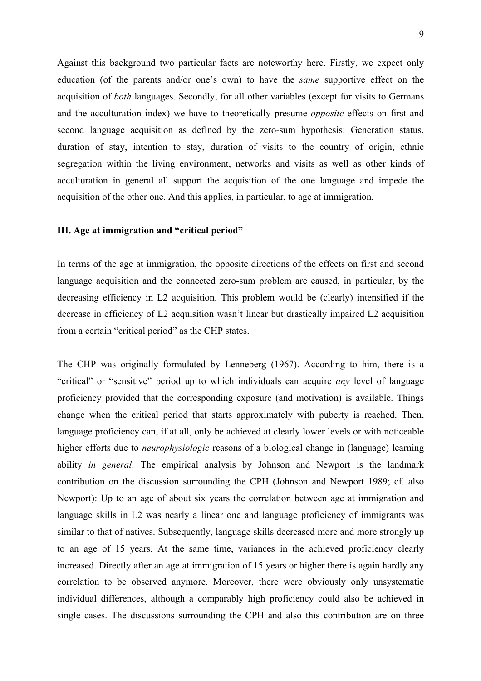Against this background two particular facts are noteworthy here. Firstly, we expect only education (of the parents and/or one's own) to have the *same* supportive effect on the acquisition of *both* languages. Secondly, for all other variables (except for visits to Germans and the acculturation index) we have to theoretically presume *opposite* effects on first and second language acquisition as defined by the zero-sum hypothesis: Generation status, duration of stay, intention to stay, duration of visits to the country of origin, ethnic segregation within the living environment, networks and visits as well as other kinds of acculturation in general all support the acquisition of the one language and impede the acquisition of the other one. And this applies, in particular, to age at immigration.

# **III. Age at immigration and "critical period"**

In terms of the age at immigration, the opposite directions of the effects on first and second language acquisition and the connected zero-sum problem are caused, in particular, by the decreasing efficiency in L2 acquisition. This problem would be (clearly) intensified if the decrease in efficiency of L2 acquisition wasn't linear but drastically impaired L2 acquisition from a certain "critical period" as the CHP states.

The CHP was originally formulated by Lenneberg (1967). According to him, there is a "critical" or "sensitive" period up to which individuals can acquire *any* level of language proficiency provided that the corresponding exposure (and motivation) is available. Things change when the critical period that starts approximately with puberty is reached. Then, language proficiency can, if at all, only be achieved at clearly lower levels or with noticeable higher efforts due to *neurophysiologic* reasons of a biological change in (language) learning ability *in general*. The empirical analysis by Johnson and Newport is the landmark contribution on the discussion surrounding the CPH (Johnson and Newport 1989; cf. also Newport): Up to an age of about six years the correlation between age at immigration and language skills in L2 was nearly a linear one and language proficiency of immigrants was similar to that of natives. Subsequently, language skills decreased more and more strongly up to an age of 15 years. At the same time, variances in the achieved proficiency clearly increased. Directly after an age at immigration of 15 years or higher there is again hardly any correlation to be observed anymore. Moreover, there were obviously only unsystematic individual differences, although a comparably high proficiency could also be achieved in single cases. The discussions surrounding the CPH and also this contribution are on three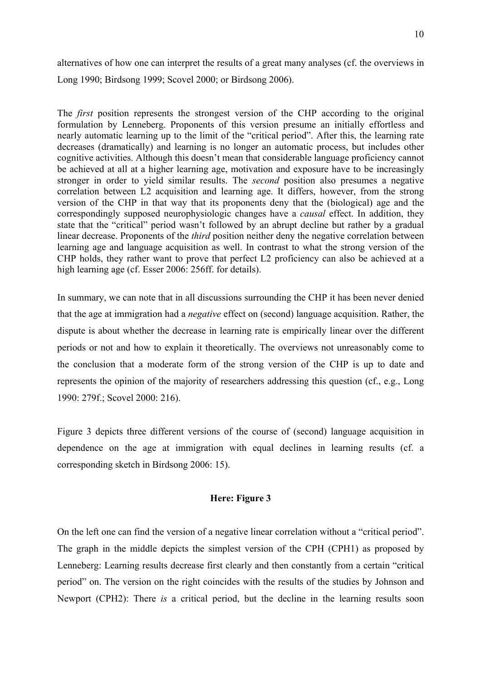alternatives of how one can interpret the results of a great many analyses (cf. the overviews in Long 1990; Birdsong 1999; Scovel 2000; or Birdsong 2006).

The *first* position represents the strongest version of the CHP according to the original formulation by Lenneberg. Proponents of this version presume an initially effortless and nearly automatic learning up to the limit of the "critical period". After this, the learning rate decreases (dramatically) and learning is no longer an automatic process, but includes other cognitive activities. Although this doesn't mean that considerable language proficiency cannot be achieved at all at a higher learning age, motivation and exposure have to be increasingly stronger in order to yield similar results. The *second* position also presumes a negative correlation between L2 acquisition and learning age. It differs, however, from the strong version of the CHP in that way that its proponents deny that the (biological) age and the correspondingly supposed neurophysiologic changes have a *causal* effect. In addition, they state that the "critical" period wasn't followed by an abrupt decline but rather by a gradual linear decrease. Proponents of the *third* position neither deny the negative correlation between learning age and language acquisition as well. In contrast to what the strong version of the CHP holds, they rather want to prove that perfect L2 proficiency can also be achieved at a high learning age (cf. Esser 2006: 256ff. for details).

In summary, we can note that in all discussions surrounding the CHP it has been never denied that the age at immigration had a *negative* effect on (second) language acquisition. Rather, the dispute is about whether the decrease in learning rate is empirically linear over the different periods or not and how to explain it theoretically. The overviews not unreasonably come to the conclusion that a moderate form of the strong version of the CHP is up to date and represents the opinion of the majority of researchers addressing this question (cf., e.g., Long 1990: 279f.; Scovel 2000: 216).

Figure 3 depicts three different versions of the course of (second) language acquisition in dependence on the age at immigration with equal declines in learning results (cf. a corresponding sketch in Birdsong 2006: 15).

## **Here: Figure 3**

On the left one can find the version of a negative linear correlation without a "critical period". The graph in the middle depicts the simplest version of the CPH (CPH1) as proposed by Lenneberg: Learning results decrease first clearly and then constantly from a certain "critical period" on. The version on the right coincides with the results of the studies by Johnson and Newport (CPH2): There *is* a critical period, but the decline in the learning results soon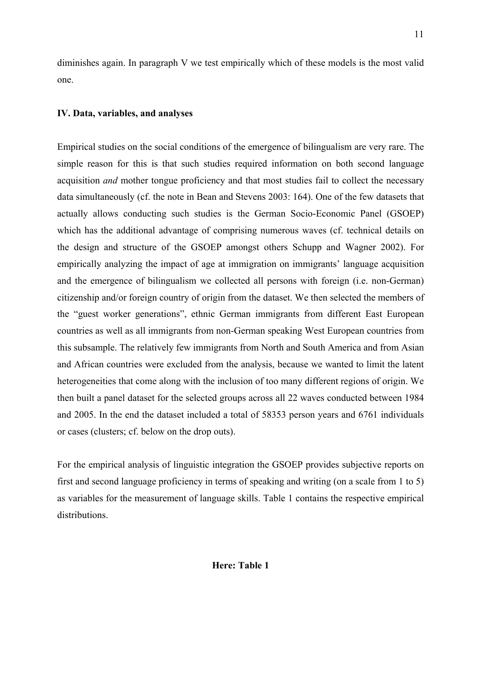diminishes again. In paragraph V we test empirically which of these models is the most valid one.

# **IV. Data, variables, and analyses**

Empirical studies on the social conditions of the emergence of bilingualism are very rare. The simple reason for this is that such studies required information on both second language acquisition *and* mother tongue proficiency and that most studies fail to collect the necessary data simultaneously (cf. the note in Bean and Stevens 2003: 164). One of the few datasets that actually allows conducting such studies is the German Socio-Economic Panel (GSOEP) which has the additional advantage of comprising numerous waves (cf. technical details on the design and structure of the GSOEP amongst others Schupp and Wagner 2002). For empirically analyzing the impact of age at immigration on immigrants' language acquisition and the emergence of bilingualism we collected all persons with foreign (i.e. non-German) citizenship and/or foreign country of origin from the dataset. We then selected the members of the "guest worker generations", ethnic German immigrants from different East European countries as well as all immigrants from non-German speaking West European countries from this subsample. The relatively few immigrants from North and South America and from Asian and African countries were excluded from the analysis, because we wanted to limit the latent heterogeneities that come along with the inclusion of too many different regions of origin. We then built a panel dataset for the selected groups across all 22 waves conducted between 1984 and 2005. In the end the dataset included a total of 58353 person years and 6761 individuals or cases (clusters; cf. below on the drop outs).

For the empirical analysis of linguistic integration the GSOEP provides subjective reports on first and second language proficiency in terms of speaking and writing (on a scale from 1 to 5) as variables for the measurement of language skills. Table 1 contains the respective empirical distributions.

# **Here: Table 1**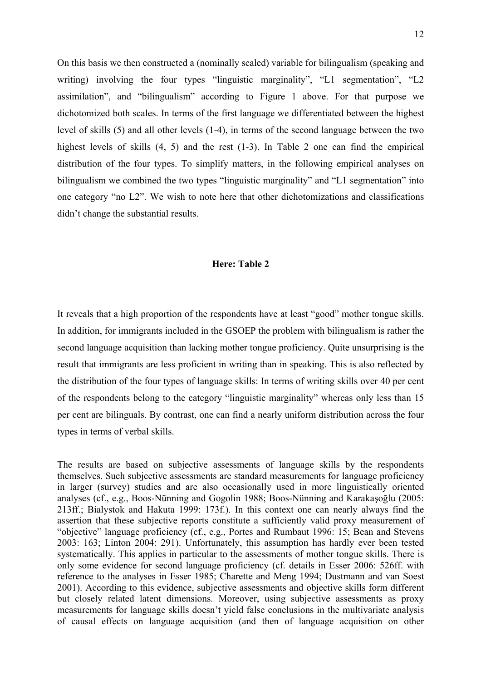On this basis we then constructed a (nominally scaled) variable for bilingualism (speaking and writing) involving the four types "linguistic marginality", "L1 segmentation", "L2 assimilation", and "bilingualism" according to Figure 1 above. For that purpose we dichotomized both scales. In terms of the first language we differentiated between the highest level of skills (5) and all other levels (1-4), in terms of the second language between the two highest levels of skills  $(4, 5)$  and the rest  $(1-3)$ . In Table 2 one can find the empirical distribution of the four types. To simplify matters, in the following empirical analyses on bilingualism we combined the two types "linguistic marginality" and "L1 segmentation" into one category "no L2". We wish to note here that other dichotomizations and classifications didn't change the substantial results.

## **Here: Table 2**

It reveals that a high proportion of the respondents have at least "good" mother tongue skills. In addition, for immigrants included in the GSOEP the problem with bilingualism is rather the second language acquisition than lacking mother tongue proficiency. Quite unsurprising is the result that immigrants are less proficient in writing than in speaking. This is also reflected by the distribution of the four types of language skills: In terms of writing skills over 40 per cent of the respondents belong to the category "linguistic marginality" whereas only less than 15 per cent are bilinguals. By contrast, one can find a nearly uniform distribution across the four types in terms of verbal skills.

The results are based on subjective assessments of language skills by the respondents themselves. Such subjective assessments are standard measurements for language proficiency in larger (survey) studies and are also occasionally used in more linguistically oriented analyses (cf., e.g., Boos-Nünning and Gogolin 1988; Boos-Nünning and Karakaşoğlu (2005: 213ff.; Bialystok and Hakuta 1999: 173f.). In this context one can nearly always find the assertion that these subjective reports constitute a sufficiently valid proxy measurement of "objective" language proficiency (cf., e.g., Portes and Rumbaut 1996: 15; Bean and Stevens 2003: 163; Linton 2004: 291). Unfortunately, this assumption has hardly ever been tested systematically. This applies in particular to the assessments of mother tongue skills. There is only some evidence for second language proficiency (cf. details in Esser 2006: 526ff. with reference to the analyses in Esser 1985; Charette and Meng 1994; Dustmann and van Soest 2001). According to this evidence, subjective assessments and objective skills form different but closely related latent dimensions. Moreover, using subjective assessments as proxy measurements for language skills doesn't yield false conclusions in the multivariate analysis of causal effects on language acquisition (and then of language acquisition on other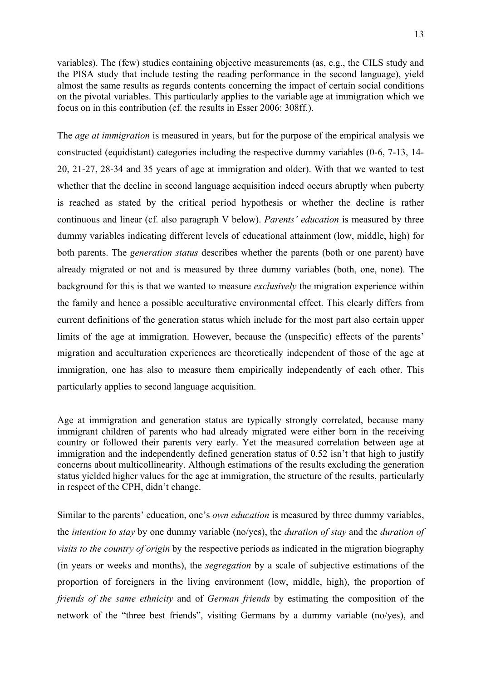variables). The (few) studies containing objective measurements (as, e.g., the CILS study and the PISA study that include testing the reading performance in the second language), yield almost the same results as regards contents concerning the impact of certain social conditions on the pivotal variables. This particularly applies to the variable age at immigration which we focus on in this contribution (cf. the results in Esser 2006: 308ff.).

The *age at immigration* is measured in years, but for the purpose of the empirical analysis we constructed (equidistant) categories including the respective dummy variables (0-6, 7-13, 14- 20, 21-27, 28-34 and 35 years of age at immigration and older). With that we wanted to test whether that the decline in second language acquisition indeed occurs abruptly when puberty is reached as stated by the critical period hypothesis or whether the decline is rather continuous and linear (cf. also paragraph V below). *Parents' education* is measured by three dummy variables indicating different levels of educational attainment (low, middle, high) for both parents. The *generation status* describes whether the parents (both or one parent) have already migrated or not and is measured by three dummy variables (both, one, none). The background for this is that we wanted to measure *exclusively* the migration experience within the family and hence a possible acculturative environmental effect. This clearly differs from current definitions of the generation status which include for the most part also certain upper limits of the age at immigration. However, because the (unspecific) effects of the parents' migration and acculturation experiences are theoretically independent of those of the age at immigration, one has also to measure them empirically independently of each other. This particularly applies to second language acquisition.

Age at immigration and generation status are typically strongly correlated, because many immigrant children of parents who had already migrated were either born in the receiving country or followed their parents very early. Yet the measured correlation between age at immigration and the independently defined generation status of 0.52 isn't that high to justify concerns about multicollinearity. Although estimations of the results excluding the generation status yielded higher values for the age at immigration, the structure of the results, particularly in respect of the CPH, didn't change.

Similar to the parents' education, one's *own education* is measured by three dummy variables, the *intention to stay* by one dummy variable (no/yes), the *duration of stay* and the *duration of visits to the country of origin* by the respective periods as indicated in the migration biography (in years or weeks and months), the *segregation* by a scale of subjective estimations of the proportion of foreigners in the living environment (low, middle, high), the proportion of *friends of the same ethnicity* and of *German friends* by estimating the composition of the network of the "three best friends", visiting Germans by a dummy variable (no/yes), and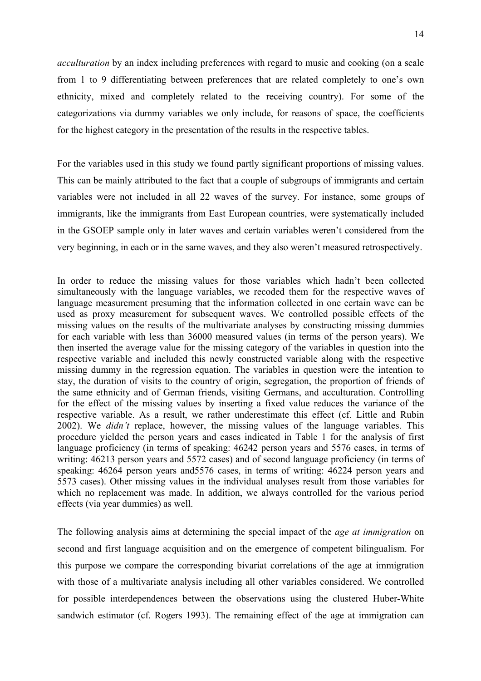*acculturation* by an index including preferences with regard to music and cooking (on a scale from 1 to 9 differentiating between preferences that are related completely to one's own ethnicity, mixed and completely related to the receiving country). For some of the categorizations via dummy variables we only include, for reasons of space, the coefficients for the highest category in the presentation of the results in the respective tables.

For the variables used in this study we found partly significant proportions of missing values. This can be mainly attributed to the fact that a couple of subgroups of immigrants and certain variables were not included in all 22 waves of the survey. For instance, some groups of immigrants, like the immigrants from East European countries, were systematically included in the GSOEP sample only in later waves and certain variables weren't considered from the very beginning, in each or in the same waves, and they also weren't measured retrospectively.

In order to reduce the missing values for those variables which hadn't been collected simultaneously with the language variables, we recoded them for the respective waves of language measurement presuming that the information collected in one certain wave can be used as proxy measurement for subsequent waves. We controlled possible effects of the missing values on the results of the multivariate analyses by constructing missing dummies for each variable with less than 36000 measured values (in terms of the person years). We then inserted the average value for the missing category of the variables in question into the respective variable and included this newly constructed variable along with the respective missing dummy in the regression equation. The variables in question were the intention to stay, the duration of visits to the country of origin, segregation, the proportion of friends of the same ethnicity and of German friends, visiting Germans, and acculturation. Controlling for the effect of the missing values by inserting a fixed value reduces the variance of the respective variable. As a result, we rather underestimate this effect (cf. Little and Rubin 2002). We *didn't* replace, however, the missing values of the language variables. This procedure yielded the person years and cases indicated in Table 1 for the analysis of first language proficiency (in terms of speaking: 46242 person years and 5576 cases, in terms of writing: 46213 person years and 5572 cases) and of second language proficiency (in terms of speaking: 46264 person years and5576 cases, in terms of writing: 46224 person years and 5573 cases). Other missing values in the individual analyses result from those variables for which no replacement was made. In addition, we always controlled for the various period effects (via year dummies) as well.

The following analysis aims at determining the special impact of the *age at immigration* on second and first language acquisition and on the emergence of competent bilingualism. For this purpose we compare the corresponding bivariat correlations of the age at immigration with those of a multivariate analysis including all other variables considered. We controlled for possible interdependences between the observations using the clustered Huber-White sandwich estimator (cf. Rogers 1993). The remaining effect of the age at immigration can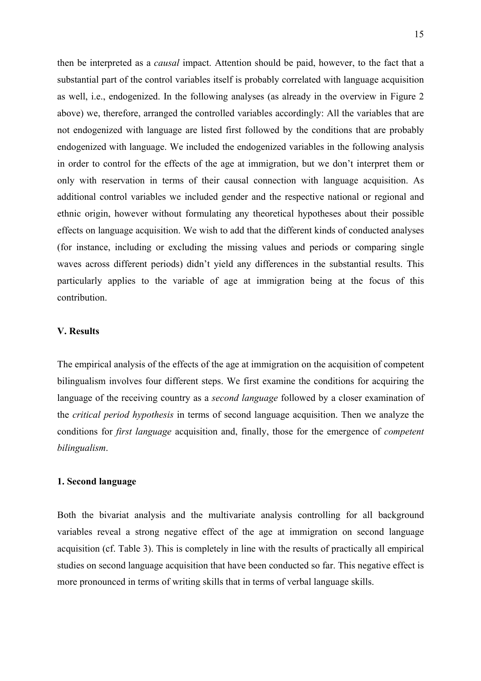then be interpreted as a *causal* impact. Attention should be paid, however, to the fact that a substantial part of the control variables itself is probably correlated with language acquisition as well, i.e., endogenized. In the following analyses (as already in the overview in Figure 2 above) we, therefore, arranged the controlled variables accordingly: All the variables that are not endogenized with language are listed first followed by the conditions that are probably endogenized with language. We included the endogenized variables in the following analysis in order to control for the effects of the age at immigration, but we don't interpret them or only with reservation in terms of their causal connection with language acquisition. As additional control variables we included gender and the respective national or regional and ethnic origin, however without formulating any theoretical hypotheses about their possible effects on language acquisition. We wish to add that the different kinds of conducted analyses (for instance, including or excluding the missing values and periods or comparing single waves across different periods) didn't yield any differences in the substantial results. This particularly applies to the variable of age at immigration being at the focus of this contribution.

## **V. Results**

The empirical analysis of the effects of the age at immigration on the acquisition of competent bilingualism involves four different steps. We first examine the conditions for acquiring the language of the receiving country as a *second language* followed by a closer examination of the *critical period hypothesis* in terms of second language acquisition. Then we analyze the conditions for *first language* acquisition and, finally, those for the emergence of *competent bilingualism*.

## **1. Second language**

Both the bivariat analysis and the multivariate analysis controlling for all background variables reveal a strong negative effect of the age at immigration on second language acquisition (cf. Table 3). This is completely in line with the results of practically all empirical studies on second language acquisition that have been conducted so far. This negative effect is more pronounced in terms of writing skills that in terms of verbal language skills.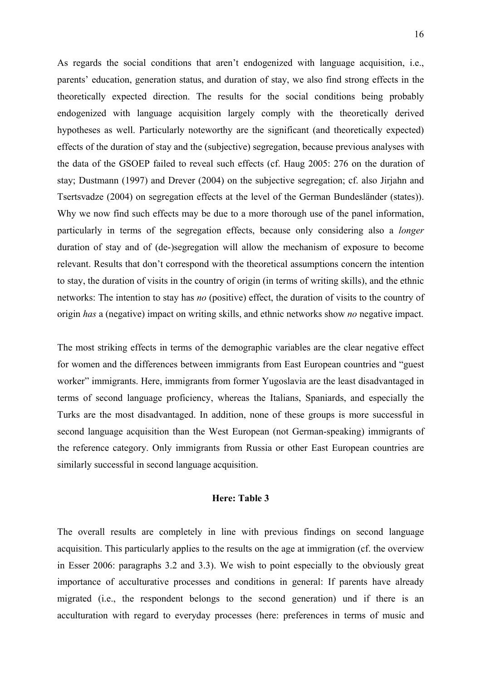As regards the social conditions that aren't endogenized with language acquisition, i.e., parents' education, generation status, and duration of stay, we also find strong effects in the theoretically expected direction. The results for the social conditions being probably endogenized with language acquisition largely comply with the theoretically derived hypotheses as well. Particularly noteworthy are the significant (and theoretically expected) effects of the duration of stay and the (subjective) segregation, because previous analyses with the data of the GSOEP failed to reveal such effects (cf. Haug 2005: 276 on the duration of stay; Dustmann (1997) and Drever (2004) on the subjective segregation; cf. also Jirjahn and Tsertsvadze (2004) on segregation effects at the level of the German Bundesländer (states)). Why we now find such effects may be due to a more thorough use of the panel information, particularly in terms of the segregation effects, because only considering also a *longer* duration of stay and of (de-)segregation will allow the mechanism of exposure to become relevant. Results that don't correspond with the theoretical assumptions concern the intention to stay, the duration of visits in the country of origin (in terms of writing skills), and the ethnic networks: The intention to stay has *no* (positive) effect, the duration of visits to the country of origin *has* a (negative) impact on writing skills, and ethnic networks show *no* negative impact.

The most striking effects in terms of the demographic variables are the clear negative effect for women and the differences between immigrants from East European countries and "guest worker" immigrants. Here, immigrants from former Yugoslavia are the least disadvantaged in terms of second language proficiency, whereas the Italians, Spaniards, and especially the Turks are the most disadvantaged. In addition, none of these groups is more successful in second language acquisition than the West European (not German-speaking) immigrants of the reference category. Only immigrants from Russia or other East European countries are similarly successful in second language acquisition.

## **Here: Table 3**

The overall results are completely in line with previous findings on second language acquisition. This particularly applies to the results on the age at immigration (cf. the overview in Esser 2006: paragraphs 3.2 and 3.3). We wish to point especially to the obviously great importance of acculturative processes and conditions in general: If parents have already migrated (i.e., the respondent belongs to the second generation) und if there is an acculturation with regard to everyday processes (here: preferences in terms of music and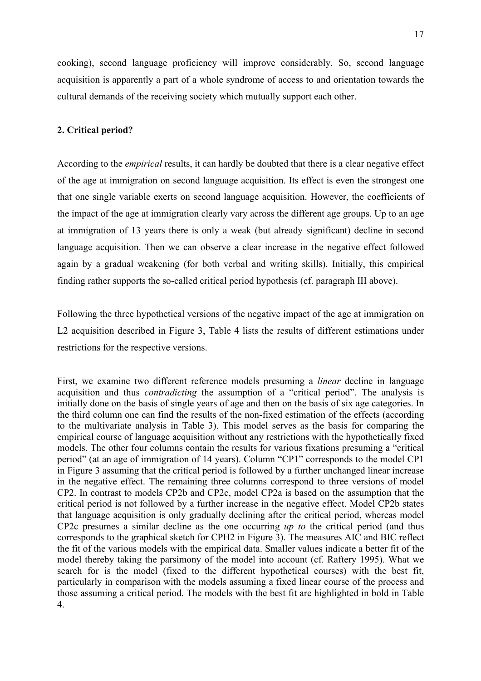cooking), second language proficiency will improve considerably. So, second language acquisition is apparently a part of a whole syndrome of access to and orientation towards the cultural demands of the receiving society which mutually support each other.

# **2. Critical period?**

According to the *empirical* results, it can hardly be doubted that there is a clear negative effect of the age at immigration on second language acquisition. Its effect is even the strongest one that one single variable exerts on second language acquisition. However, the coefficients of the impact of the age at immigration clearly vary across the different age groups. Up to an age at immigration of 13 years there is only a weak (but already significant) decline in second language acquisition. Then we can observe a clear increase in the negative effect followed again by a gradual weakening (for both verbal and writing skills). Initially, this empirical finding rather supports the so-called critical period hypothesis (cf. paragraph III above).

Following the three hypothetical versions of the negative impact of the age at immigration on L2 acquisition described in Figure 3, Table 4 lists the results of different estimations under restrictions for the respective versions.

First, we examine two different reference models presuming a *linear* decline in language acquisition and thus *contradicting* the assumption of a "critical period". The analysis is initially done on the basis of single years of age and then on the basis of six age categories. In the third column one can find the results of the non-fixed estimation of the effects (according to the multivariate analysis in Table 3). This model serves as the basis for comparing the empirical course of language acquisition without any restrictions with the hypothetically fixed models. The other four columns contain the results for various fixations presuming a "critical period" (at an age of immigration of 14 years). Column "CP1" corresponds to the model CP1 in Figure 3 assuming that the critical period is followed by a further unchanged linear increase in the negative effect. The remaining three columns correspond to three versions of model CP2. In contrast to models CP2b and CP2c, model CP2a is based on the assumption that the critical period is not followed by a further increase in the negative effect. Model CP2b states that language acquisition is only gradually declining after the critical period, whereas model CP2c presumes a similar decline as the one occurring *up to* the critical period (and thus corresponds to the graphical sketch for CPH2 in Figure 3). The measures AIC and BIC reflect the fit of the various models with the empirical data. Smaller values indicate a better fit of the model thereby taking the parsimony of the model into account (cf. Raftery 1995). What we search for is the model (fixed to the different hypothetical courses) with the best fit, particularly in comparison with the models assuming a fixed linear course of the process and those assuming a critical period. The models with the best fit are highlighted in bold in Table 4.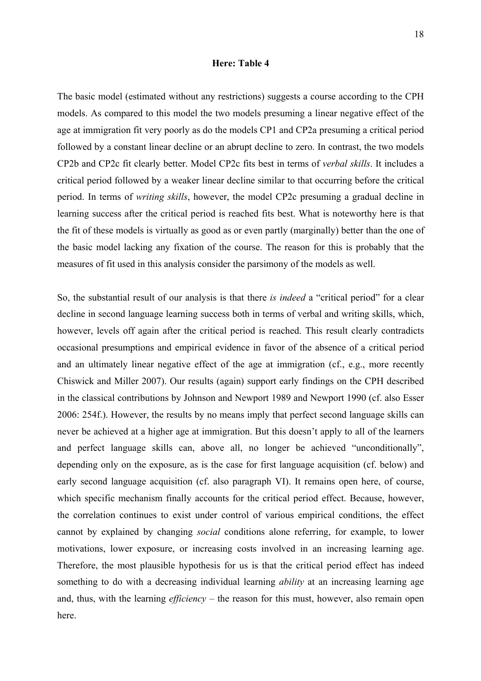#### **Here: Table 4**

The basic model (estimated without any restrictions) suggests a course according to the CPH models. As compared to this model the two models presuming a linear negative effect of the age at immigration fit very poorly as do the models CP1 and CP2a presuming a critical period followed by a constant linear decline or an abrupt decline to zero. In contrast, the two models CP2b and CP2c fit clearly better. Model CP2c fits best in terms of *verbal skills*. It includes a critical period followed by a weaker linear decline similar to that occurring before the critical period. In terms of *writing skills*, however, the model CP2c presuming a gradual decline in learning success after the critical period is reached fits best. What is noteworthy here is that the fit of these models is virtually as good as or even partly (marginally) better than the one of the basic model lacking any fixation of the course. The reason for this is probably that the measures of fit used in this analysis consider the parsimony of the models as well.

So, the substantial result of our analysis is that there *is indeed* a "critical period" for a clear decline in second language learning success both in terms of verbal and writing skills, which, however, levels off again after the critical period is reached. This result clearly contradicts occasional presumptions and empirical evidence in favor of the absence of a critical period and an ultimately linear negative effect of the age at immigration (cf., e.g., more recently Chiswick and Miller 2007). Our results (again) support early findings on the CPH described in the classical contributions by Johnson and Newport 1989 and Newport 1990 (cf. also Esser 2006: 254f.). However, the results by no means imply that perfect second language skills can never be achieved at a higher age at immigration. But this doesn't apply to all of the learners and perfect language skills can, above all, no longer be achieved "unconditionally", depending only on the exposure, as is the case for first language acquisition (cf. below) and early second language acquisition (cf. also paragraph VI). It remains open here, of course, which specific mechanism finally accounts for the critical period effect. Because, however, the correlation continues to exist under control of various empirical conditions, the effect cannot by explained by changing *social* conditions alone referring, for example, to lower motivations, lower exposure, or increasing costs involved in an increasing learning age. Therefore, the most plausible hypothesis for us is that the critical period effect has indeed something to do with a decreasing individual learning *ability* at an increasing learning age and, thus, with the learning *efficiency* – the reason for this must, however, also remain open here.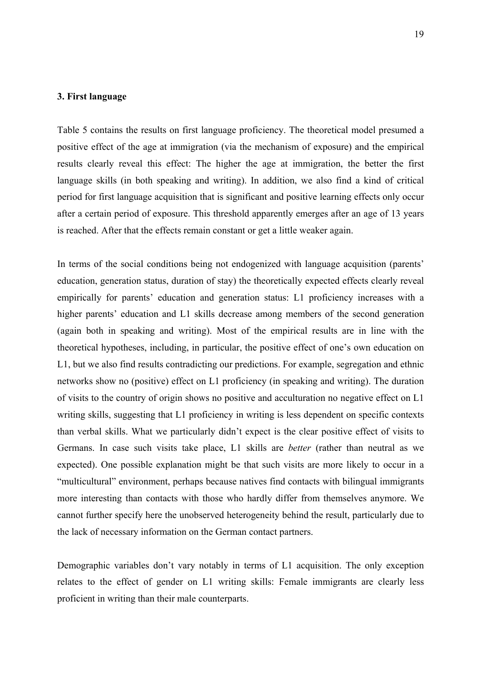## **3. First language**

Table 5 contains the results on first language proficiency. The theoretical model presumed a positive effect of the age at immigration (via the mechanism of exposure) and the empirical results clearly reveal this effect: The higher the age at immigration, the better the first language skills (in both speaking and writing). In addition, we also find a kind of critical period for first language acquisition that is significant and positive learning effects only occur after a certain period of exposure. This threshold apparently emerges after an age of 13 years is reached. After that the effects remain constant or get a little weaker again.

In terms of the social conditions being not endogenized with language acquisition (parents' education, generation status, duration of stay) the theoretically expected effects clearly reveal empirically for parents' education and generation status: L1 proficiency increases with a higher parents' education and L1 skills decrease among members of the second generation (again both in speaking and writing). Most of the empirical results are in line with the theoretical hypotheses, including, in particular, the positive effect of one's own education on L1, but we also find results contradicting our predictions. For example, segregation and ethnic networks show no (positive) effect on L1 proficiency (in speaking and writing). The duration of visits to the country of origin shows no positive and acculturation no negative effect on L1 writing skills, suggesting that L1 proficiency in writing is less dependent on specific contexts than verbal skills. What we particularly didn't expect is the clear positive effect of visits to Germans. In case such visits take place, L1 skills are *better* (rather than neutral as we expected). One possible explanation might be that such visits are more likely to occur in a "multicultural" environment, perhaps because natives find contacts with bilingual immigrants more interesting than contacts with those who hardly differ from themselves anymore. We cannot further specify here the unobserved heterogeneity behind the result, particularly due to the lack of necessary information on the German contact partners.

Demographic variables don't vary notably in terms of L1 acquisition. The only exception relates to the effect of gender on L1 writing skills: Female immigrants are clearly less proficient in writing than their male counterparts.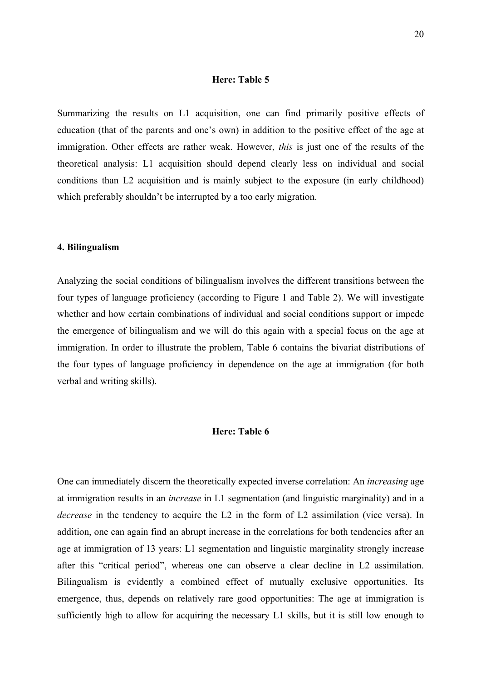### **Here: Table 5**

Summarizing the results on L1 acquisition, one can find primarily positive effects of education (that of the parents and one's own) in addition to the positive effect of the age at immigration. Other effects are rather weak. However, *this* is just one of the results of the theoretical analysis: L1 acquisition should depend clearly less on individual and social conditions than L2 acquisition and is mainly subject to the exposure (in early childhood) which preferably shouldn't be interrupted by a too early migration.

### **4. Bilingualism**

Analyzing the social conditions of bilingualism involves the different transitions between the four types of language proficiency (according to Figure 1 and Table 2). We will investigate whether and how certain combinations of individual and social conditions support or impede the emergence of bilingualism and we will do this again with a special focus on the age at immigration. In order to illustrate the problem, Table 6 contains the bivariat distributions of the four types of language proficiency in dependence on the age at immigration (for both verbal and writing skills).

## **Here: Table 6**

One can immediately discern the theoretically expected inverse correlation: An *increasing* age at immigration results in an *increase* in L1 segmentation (and linguistic marginality) and in a *decrease* in the tendency to acquire the L2 in the form of L2 assimilation (vice versa). In addition, one can again find an abrupt increase in the correlations for both tendencies after an age at immigration of 13 years: L1 segmentation and linguistic marginality strongly increase after this "critical period", whereas one can observe a clear decline in L2 assimilation. Bilingualism is evidently a combined effect of mutually exclusive opportunities. Its emergence, thus, depends on relatively rare good opportunities: The age at immigration is sufficiently high to allow for acquiring the necessary L1 skills, but it is still low enough to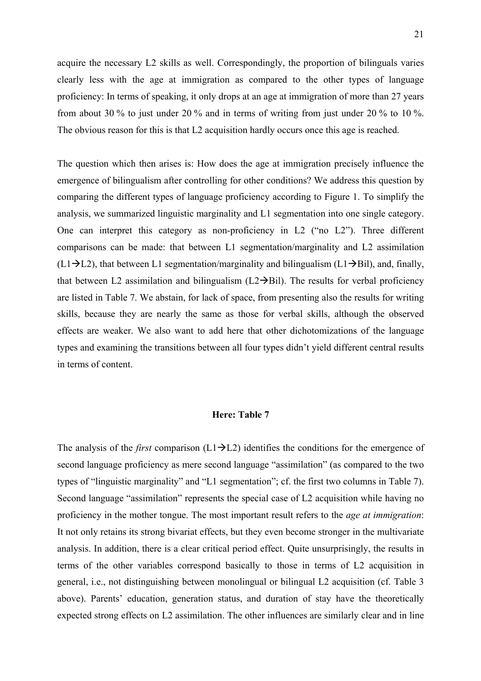acquire the necessary L2 skills as well. Correspondingly, the proportion of bilinguals varies clearly less with the age at immigration as compared to the other types of language proficiency: In terms of speaking, it only drops at an age at immigration of more than 27 years from about 30 % to just under 20 % and in terms of writing from just under 20 % to 10 %. The obvious reason for this is that L2 acquisition hardly occurs once this age is reached.

The question which then arises is: How does the age at immigration precisely influence the emergence of bilingualism after controlling for other conditions? We address this question by comparing the different types of language proficiency according to Figure 1. To simplify the analysis, we summarized linguistic marginality and L1 segmentation into one single category. One can interpret this category as non-proficiency in L2 ("no L2"). Three different comparisons can be made: that between L1 segmentation/marginality and L2 assimilation  $(L1\rightarrow L2)$ , that between L1 segmentation/marginality and bilingualism (L1 $\rightarrow$ Bil), and, finally, that between L2 assimilation and bilingualism  $(L2 \rightarrow Bil)$ . The results for verbal proficiency are listed in Table 7. We abstain, for lack of space, from presenting also the results for writing skills, because they are nearly the same as those for verbal skills, although the observed effects are weaker. We also want to add here that other dichotomizations of the language types and examining the transitions between all four types didn't yield different central results in terms of content.

# **Here: Table 7**

The analysis of the *first* comparison  $(L1\rightarrow L2)$  identifies the conditions for the emergence of second language proficiency as mere second language "assimilation" (as compared to the two types of "linguistic marginality" and "L1 segmentation"; cf. the first two columns in Table 7). Second language "assimilation" represents the special case of L2 acquisition while having no proficiency in the mother tongue. The most important result refers to the *age at immigration*: It not only retains its strong bivariat effects, but they even become stronger in the multivariate analysis. In addition, there is a clear critical period effect. Quite unsurprisingly, the results in terms of the other variables correspond basically to those in terms of L2 acquisition in general, i.e., not distinguishing between monolingual or bilingual L2 acquisition (cf. Table 3 above). Parents' education, generation status, and duration of stay have the theoretically expected strong effects on L2 assimilation. The other influences are similarly clear and in line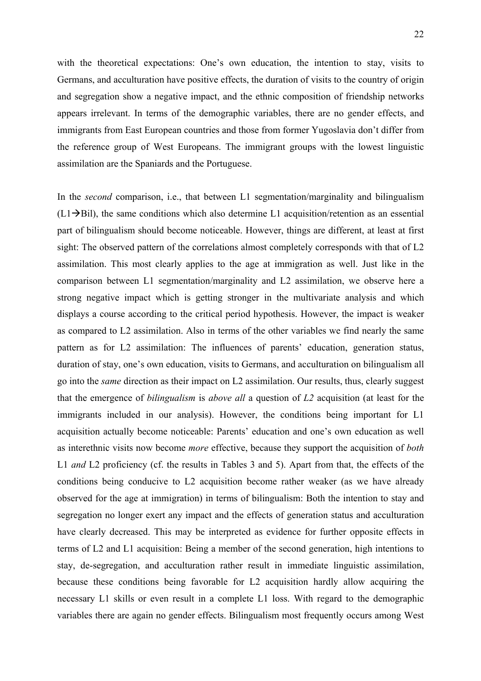with the theoretical expectations: One's own education, the intention to stay, visits to Germans, and acculturation have positive effects, the duration of visits to the country of origin and segregation show a negative impact, and the ethnic composition of friendship networks appears irrelevant. In terms of the demographic variables, there are no gender effects, and immigrants from East European countries and those from former Yugoslavia don't differ from the reference group of West Europeans. The immigrant groups with the lowest linguistic assimilation are the Spaniards and the Portuguese.

In the *second* comparison, i.e., that between L1 segmentation/marginality and bilingualism  $(L1\rightarrow Bil)$ , the same conditions which also determine L1 acquisition/retention as an essential part of bilingualism should become noticeable. However, things are different, at least at first sight: The observed pattern of the correlations almost completely corresponds with that of L2 assimilation. This most clearly applies to the age at immigration as well. Just like in the comparison between L1 segmentation/marginality and L2 assimilation, we observe here a strong negative impact which is getting stronger in the multivariate analysis and which displays a course according to the critical period hypothesis. However, the impact is weaker as compared to L2 assimilation. Also in terms of the other variables we find nearly the same pattern as for L2 assimilation: The influences of parents' education, generation status, duration of stay, one's own education, visits to Germans, and acculturation on bilingualism all go into the *same* direction as their impact on L2 assimilation. Our results, thus, clearly suggest that the emergence of *bilingualism* is *above all* a question of *L2* acquisition (at least for the immigrants included in our analysis). However, the conditions being important for L1 acquisition actually become noticeable: Parents' education and one's own education as well as interethnic visits now become *more* effective, because they support the acquisition of *both* L1 *and* L2 proficiency (cf. the results in Tables 3 and 5). Apart from that, the effects of the conditions being conducive to L2 acquisition become rather weaker (as we have already observed for the age at immigration) in terms of bilingualism: Both the intention to stay and segregation no longer exert any impact and the effects of generation status and acculturation have clearly decreased. This may be interpreted as evidence for further opposite effects in terms of L2 and L1 acquisition: Being a member of the second generation, high intentions to stay, de-segregation, and acculturation rather result in immediate linguistic assimilation, because these conditions being favorable for L2 acquisition hardly allow acquiring the necessary L1 skills or even result in a complete L1 loss. With regard to the demographic variables there are again no gender effects. Bilingualism most frequently occurs among West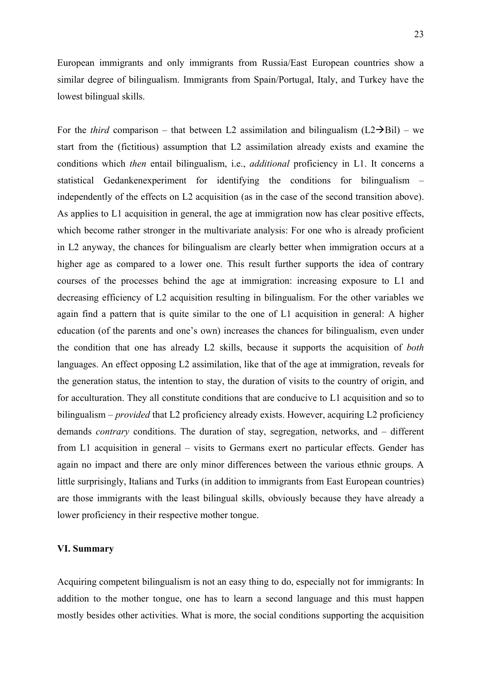European immigrants and only immigrants from Russia/East European countries show a similar degree of bilingualism. Immigrants from Spain/Portugal, Italy, and Turkey have the lowest bilingual skills.

For the *third* comparison – that between L2 assimilation and bilingualism  $(L2 \rightarrow Bil)$  – we start from the (fictitious) assumption that L2 assimilation already exists and examine the conditions which *then* entail bilingualism, i.e., *additional* proficiency in L1. It concerns a statistical Gedankenexperiment for identifying the conditions for bilingualism – independently of the effects on L2 acquisition (as in the case of the second transition above). As applies to L1 acquisition in general, the age at immigration now has clear positive effects, which become rather stronger in the multivariate analysis: For one who is already proficient in L2 anyway, the chances for bilingualism are clearly better when immigration occurs at a higher age as compared to a lower one. This result further supports the idea of contrary courses of the processes behind the age at immigration: increasing exposure to L1 and decreasing efficiency of L2 acquisition resulting in bilingualism. For the other variables we again find a pattern that is quite similar to the one of L1 acquisition in general: A higher education (of the parents and one's own) increases the chances for bilingualism, even under the condition that one has already L2 skills, because it supports the acquisition of *both* languages. An effect opposing L2 assimilation, like that of the age at immigration, reveals for the generation status, the intention to stay, the duration of visits to the country of origin, and for acculturation. They all constitute conditions that are conducive to L1 acquisition and so to bilingualism – *provided* that L2 proficiency already exists. However, acquiring L2 proficiency demands *contrary* conditions. The duration of stay, segregation, networks, and – different from L1 acquisition in general – visits to Germans exert no particular effects. Gender has again no impact and there are only minor differences between the various ethnic groups. A little surprisingly, Italians and Turks (in addition to immigrants from East European countries) are those immigrants with the least bilingual skills, obviously because they have already a lower proficiency in their respective mother tongue.

## **VI. Summary**

Acquiring competent bilingualism is not an easy thing to do, especially not for immigrants: In addition to the mother tongue, one has to learn a second language and this must happen mostly besides other activities. What is more, the social conditions supporting the acquisition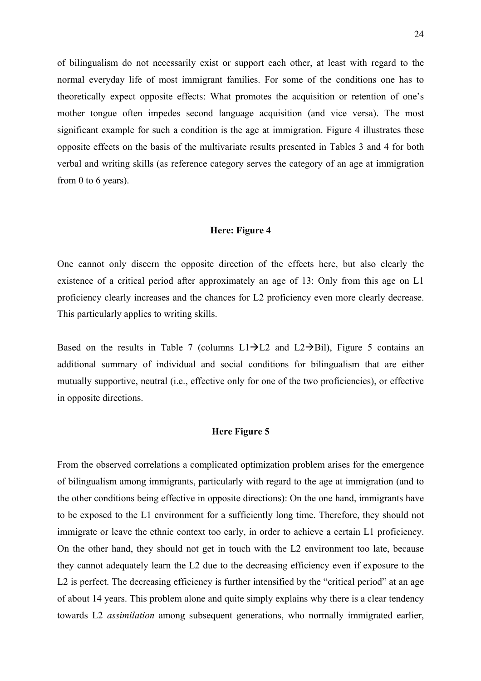of bilingualism do not necessarily exist or support each other, at least with regard to the normal everyday life of most immigrant families. For some of the conditions one has to theoretically expect opposite effects: What promotes the acquisition or retention of one's mother tongue often impedes second language acquisition (and vice versa). The most significant example for such a condition is the age at immigration. Figure 4 illustrates these opposite effects on the basis of the multivariate results presented in Tables 3 and 4 for both verbal and writing skills (as reference category serves the category of an age at immigration from 0 to 6 years).

# **Here: Figure 4**

One cannot only discern the opposite direction of the effects here, but also clearly the existence of a critical period after approximately an age of 13: Only from this age on L1 proficiency clearly increases and the chances for L2 proficiency even more clearly decrease. This particularly applies to writing skills.

Based on the results in Table 7 (columns  $L1\rightarrow L2$  and  $L2\rightarrow$ Bil), Figure 5 contains an additional summary of individual and social conditions for bilingualism that are either mutually supportive, neutral (i.e., effective only for one of the two proficiencies), or effective in opposite directions.

# **Here Figure 5**

From the observed correlations a complicated optimization problem arises for the emergence of bilingualism among immigrants, particularly with regard to the age at immigration (and to the other conditions being effective in opposite directions): On the one hand, immigrants have to be exposed to the L1 environment for a sufficiently long time. Therefore, they should not immigrate or leave the ethnic context too early, in order to achieve a certain L1 proficiency. On the other hand, they should not get in touch with the L2 environment too late, because they cannot adequately learn the L2 due to the decreasing efficiency even if exposure to the L2 is perfect. The decreasing efficiency is further intensified by the "critical period" at an age of about 14 years. This problem alone and quite simply explains why there is a clear tendency towards L2 *assimilation* among subsequent generations, who normally immigrated earlier,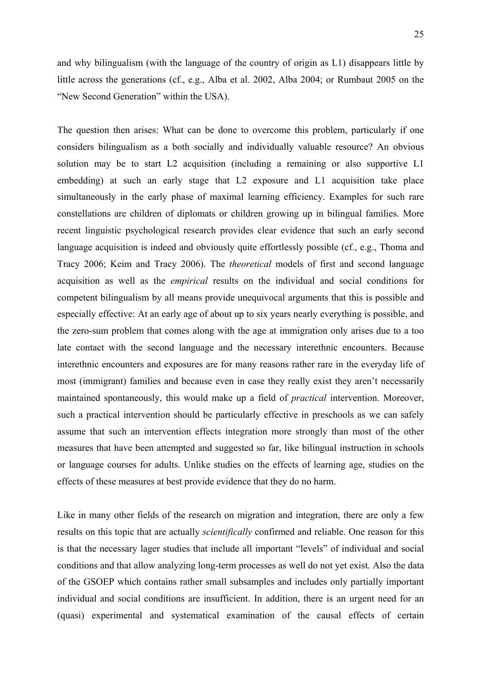and why bilingualism (with the language of the country of origin as L1) disappears little by little across the generations (cf., e.g., Alba et al. 2002, Alba 2004; or Rumbaut 2005 on the "New Second Generation" within the USA).

The question then arises: What can be done to overcome this problem, particularly if one considers bilingualism as a both socially and individually valuable resource? An obvious solution may be to start L2 acquisition (including a remaining or also supportive L1 embedding) at such an early stage that L2 exposure and L1 acquisition take place simultaneously in the early phase of maximal learning efficiency. Examples for such rare constellations are children of diplomats or children growing up in bilingual families. More recent linguistic psychological research provides clear evidence that such an early second language acquisition is indeed and obviously quite effortlessly possible (cf., e.g., Thoma and Tracy 2006; Keim and Tracy 2006). The *theoretical* models of first and second language acquisition as well as the *empirical* results on the individual and social conditions for competent bilingualism by all means provide unequivocal arguments that this is possible and especially effective: At an early age of about up to six years nearly everything is possible, and the zero-sum problem that comes along with the age at immigration only arises due to a too late contact with the second language and the necessary interethnic encounters. Because interethnic encounters and exposures are for many reasons rather rare in the everyday life of most (immigrant) families and because even in case they really exist they aren't necessarily maintained spontaneously, this would make up a field of *practical* intervention. Moreover, such a practical intervention should be particularly effective in preschools as we can safely assume that such an intervention effects integration more strongly than most of the other measures that have been attempted and suggested so far, like bilingual instruction in schools or language courses for adults. Unlike studies on the effects of learning age, studies on the effects of these measures at best provide evidence that they do no harm.

Like in many other fields of the research on migration and integration, there are only a few results on this topic that are actually *scientifically* confirmed and reliable. One reason for this is that the necessary lager studies that include all important "levels" of individual and social conditions and that allow analyzing long-term processes as well do not yet exist. Also the data of the GSOEP which contains rather small subsamples and includes only partially important individual and social conditions are insufficient. In addition, there is an urgent need for an (quasi) experimental and systematical examination of the causal effects of certain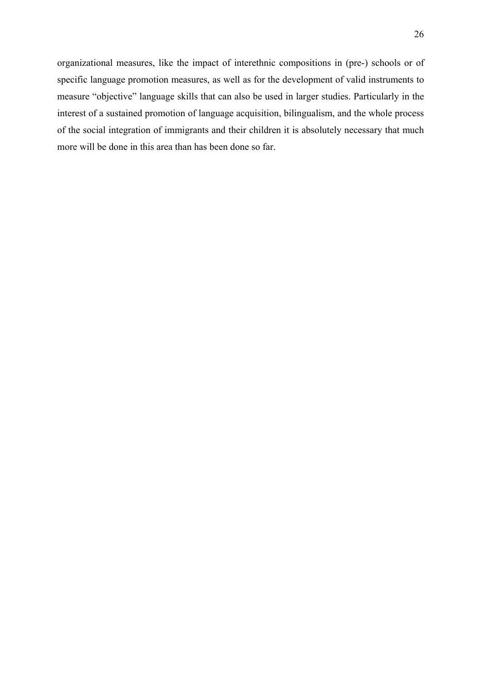organizational measures, like the impact of interethnic compositions in (pre-) schools or of specific language promotion measures, as well as for the development of valid instruments to measure "objective" language skills that can also be used in larger studies. Particularly in the interest of a sustained promotion of language acquisition, bilingualism, and the whole process of the social integration of immigrants and their children it is absolutely necessary that much more will be done in this area than has been done so far.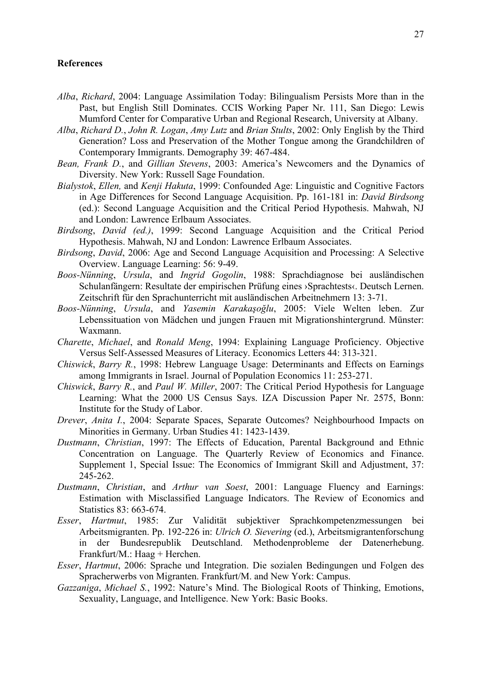### **References**

- *Alba*, *Richard*, 2004: Language Assimilation Today: Bilingualism Persists More than in the Past, but English Still Dominates. CCIS Working Paper Nr. 111, San Diego: Lewis Mumford Center for Comparative Urban and Regional Research, University at Albany.
- *Alba*, *Richard D.*, *John R. Logan*, *Amy Lutz* and *Brian Stults*, 2002: Only English by the Third Generation? Loss and Preservation of the Mother Tongue among the Grandchildren of Contemporary Immigrants. Demography 39: 467-484.
- *Bean, Frank D.*, and *Gillian Stevens*, 2003: America's Newcomers and the Dynamics of Diversity. New York: Russell Sage Foundation.
- *Bialystok*, *Ellen,* and *Kenji Hakuta*, 1999: Confounded Age: Linguistic and Cognitive Factors in Age Differences for Second Language Acquisition. Pp. 161-181 in: *David Birdsong* (ed.): Second Language Acquisition and the Critical Period Hypothesis. Mahwah, NJ and London: Lawrence Erlbaum Associates.
- *Birdsong*, *David (ed.)*, 1999: Second Language Acquisition and the Critical Period Hypothesis. Mahwah, NJ and London: Lawrence Erlbaum Associates.
- *Birdsong*, *David*, 2006: Age and Second Language Acquisition and Processing: A Selective Overview. Language Learning: 56: 9-49.
- *Boos-Nünning*, *Ursula*, and *Ingrid Gogolin*, 1988: Sprachdiagnose bei ausländischen Schulanfängern: Resultate der empirischen Prüfung eines ›Sprachtests‹. Deutsch Lernen. Zeitschrift für den Sprachunterricht mit ausländischen Arbeitnehmern 13: 3-71.
- *Boos-Nünning*, *Ursula*, and *Yasemin Karakaşoğlu*, 2005: Viele Welten leben. Zur Lebenssituation von Mädchen und jungen Frauen mit Migrationshintergrund. Münster: Waxmann.
- *Charette*, *Michael*, and *Ronald Meng*, 1994: Explaining Language Proficiency. Objective Versus Self-Assessed Measures of Literacy. Economics Letters 44: 313-321.
- *Chiswick*, *Barry R.*, 1998: Hebrew Language Usage: Determinants and Effects on Earnings among Immigrants in Israel. Journal of Population Economics 11: 253-271.
- *Chiswick*, *Barry R.*, and *Paul W. Miller*, 2007: The Critical Period Hypothesis for Language Learning: What the 2000 US Census Says. IZA Discussion Paper Nr. 2575, Bonn: Institute for the Study of Labor.
- *Drever*, *Anita I.*, 2004: Separate Spaces, Separate Outcomes? Neighbourhood Impacts on Minorities in Germany. Urban Studies 41: 1423-1439.
- *Dustmann*, *Christian*, 1997: The Effects of Education, Parental Background and Ethnic Concentration on Language. The Quarterly Review of Economics and Finance. Supplement 1, Special Issue: The Economics of Immigrant Skill and Adjustment, 37: 245-262.
- *Dustmann*, *Christian*, and *Arthur van Soest*, 2001: Language Fluency and Earnings: Estimation with Misclassified Language Indicators. The Review of Economics and Statistics 83: 663-674.
- *Esser*, *Hartmut*, 1985: Zur Validität subjektiver Sprachkompetenzmessungen bei Arbeitsmigranten. Pp. 192-226 in: *Ulrich O. Sievering* (ed.), Arbeitsmigrantenforschung in der Bundesrepublik Deutschland. Methodenprobleme der Datenerhebung. Frankfurt/M.: Haag + Herchen.
- *Esser*, *Hartmut*, 2006: Sprache und Integration. Die sozialen Bedingungen und Folgen des Spracherwerbs von Migranten. Frankfurt/M. and New York: Campus.
- *Gazzaniga*, *Michael S.*, 1992: Nature's Mind. The Biological Roots of Thinking, Emotions, Sexuality, Language, and Intelligence. New York: Basic Books.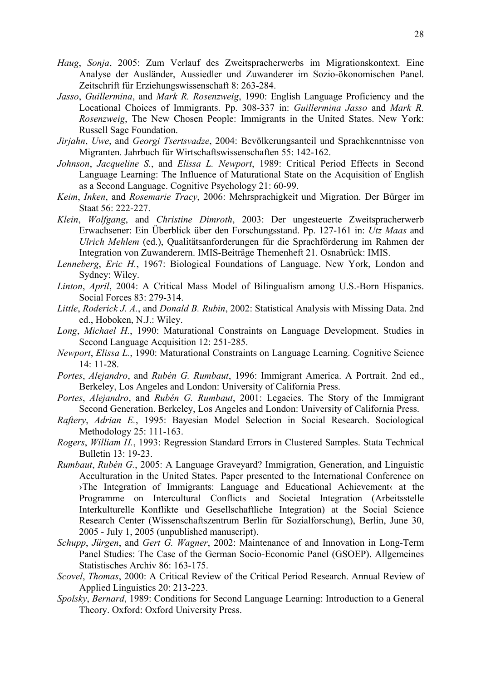- *Haug*, *Sonja*, 2005: Zum Verlauf des Zweitspracherwerbs im Migrationskontext. Eine Analyse der Ausländer, Aussiedler und Zuwanderer im Sozio-ökonomischen Panel. Zeitschrift für Erziehungswissenschaft 8: 263-284.
- *Jasso*, *Guillermina*, and *Mark R. Rosenzweig*, 1990: English Language Proficiency and the Locational Choices of Immigrants. Pp. 308-337 in: *Guillermina Jasso* and *Mark R. Rosenzweig*, The New Chosen People: Immigrants in the United States. New York: Russell Sage Foundation.
- *Jirjahn*, *Uwe*, and *Georgi Tsertsvadze*, 2004: Bevölkerungsanteil und Sprachkenntnisse von Migranten. Jahrbuch für Wirtschaftswissenschaften 55: 142-162.
- *Johnson*, *Jacqueline S.*, and *Elissa L. Newport*, 1989: Critical Period Effects in Second Language Learning: The Influence of Maturational State on the Acquisition of English as a Second Language. Cognitive Psychology 21: 60-99.
- *Keim*, *Inken*, and *Rosemarie Tracy*, 2006: Mehrsprachigkeit und Migration. Der Bürger im Staat 56: 222-227.
- *Klein*, *Wolfgang*, and *Christine Dimroth*, 2003: Der ungesteuerte Zweitspracherwerb Erwachsener: Ein Überblick über den Forschungsstand. Pp. 127-161 in: *Utz Maas* and *Ulrich Mehlem* (ed.), Qualitätsanforderungen für die Sprachförderung im Rahmen der Integration von Zuwanderern. IMIS-Beiträge Themenheft 21. Osnabrück: IMIS.
- *Lenneberg*, *Eric H.*, 1967: Biological Foundations of Language. New York, London and Sydney: Wiley.
- *Linton*, *April*, 2004: A Critical Mass Model of Bilingualism among U.S.-Born Hispanics. Social Forces 83: 279-314.
- *Little*, *Roderick J. A.*, and *Donald B. Rubin*, 2002: Statistical Analysis with Missing Data. 2nd ed., Hoboken, N.J.: Wiley.
- *Long*, *Michael H.*, 1990: Maturational Constraints on Language Development. Studies in Second Language Acquisition 12: 251-285.
- *Newport*, *Elissa L.*, 1990: Maturational Constraints on Language Learning. Cognitive Science 14: 11-28.
- *Portes*, *Alejandro*, and *Rubén G. Rumbaut*, 1996: Immigrant America. A Portrait. 2nd ed., Berkeley, Los Angeles and London: University of California Press.
- *Portes*, *Alejandro*, and *Rubén G. Rumbaut*, 2001: Legacies. The Story of the Immigrant Second Generation. Berkeley, Los Angeles and London: University of California Press.
- *Raftery*, *Adrian E.*, 1995: Bayesian Model Selection in Social Research. Sociological Methodology 25: 111-163.
- *Rogers*, *William H.*, 1993: Regression Standard Errors in Clustered Samples. Stata Technical Bulletin 13: 19-23.
- *Rumbaut*, *Rubén G.*, 2005: A Language Graveyard? Immigration, Generation, and Linguistic Acculturation in the United States. Paper presented to the International Conference on ›The Integration of Immigrants: Language and Educational Achievement‹ at the Programme on Intercultural Conflicts and Societal Integration (Arbeitsstelle Interkulturelle Konflikte und Gesellschaftliche Integration) at the Social Science Research Center (Wissenschaftszentrum Berlin für Sozialforschung), Berlin, June 30, 2005 - July 1, 2005 (unpublished manuscript).
- *Schupp*, *Jürgen*, and *Gert G. Wagner*, 2002: Maintenance of and Innovation in Long-Term Panel Studies: The Case of the German Socio-Economic Panel (GSOEP). Allgemeines Statistisches Archiv 86: 163-175.
- *Scovel*, *Thomas*, 2000: A Critical Review of the Critical Period Research. Annual Review of Applied Linguistics 20: 213-223.
- *Spolsky*, *Bernard*, 1989: Conditions for Second Language Learning: Introduction to a General Theory. Oxford: Oxford University Press.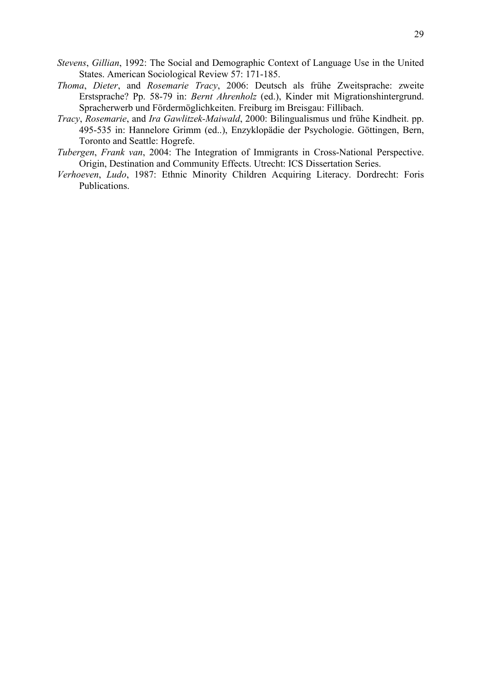- *Stevens*, *Gillian*, 1992: The Social and Demographic Context of Language Use in the United States. American Sociological Review 57: 171-185.
- *Thoma*, *Dieter*, and *Rosemarie Tracy*, 2006: Deutsch als frühe Zweitsprache: zweite Erstsprache? Pp. 58-79 in: *Bernt Ahrenholz* (ed.), Kinder mit Migrationshintergrund. Spracherwerb und Fördermöglichkeiten. Freiburg im Breisgau: Fillibach.
- *Tracy*, *Rosemarie*, and *Ira Gawlitzek-Maiwald*, 2000: Bilingualismus und frühe Kindheit. pp. 495-535 in: Hannelore Grimm (ed..), Enzyklopädie der Psychologie. Göttingen, Bern, Toronto and Seattle: Hogrefe.
- *Tubergen*, *Frank van*, 2004: The Integration of Immigrants in Cross-National Perspective. Origin, Destination and Community Effects. Utrecht: ICS Dissertation Series.
- *Verhoeven*, *Ludo*, 1987: Ethnic Minority Children Acquiring Literacy. Dordrecht: Foris Publications.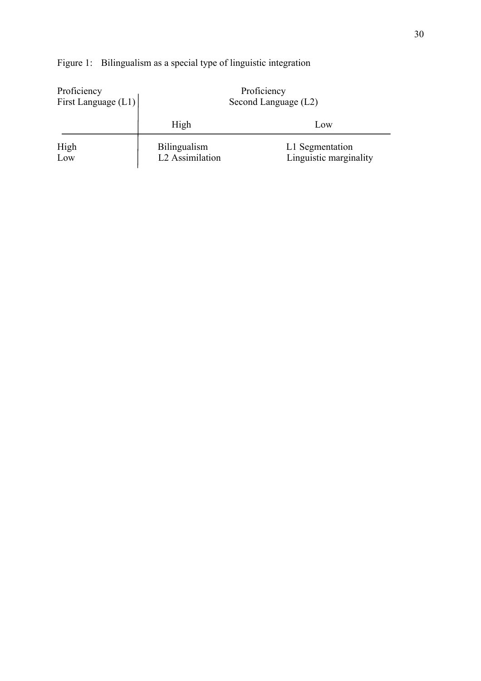| Proficiency<br>First Language $(L1)$                  |      | Proficiency<br>Second Language (L2)       |  |  |  |
|-------------------------------------------------------|------|-------------------------------------------|--|--|--|
|                                                       | High | Low                                       |  |  |  |
| High<br><b>Bilingualism</b><br>L2 Assimilation<br>Low |      | L1 Segmentation<br>Linguistic marginality |  |  |  |

# Figure 1: Bilingualism as a special type of linguistic integration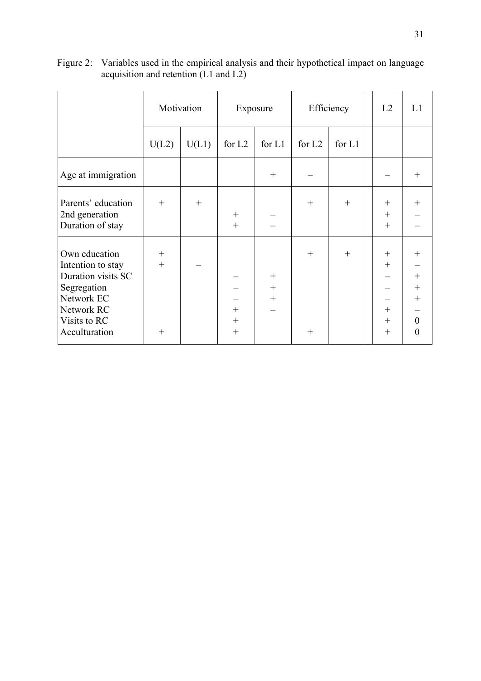|                                                                                                                                      |                   | Motivation |                            | Exposure             | Efficiency         |        | L2                                             | L1                                                                           |
|--------------------------------------------------------------------------------------------------------------------------------------|-------------------|------------|----------------------------|----------------------|--------------------|--------|------------------------------------------------|------------------------------------------------------------------------------|
|                                                                                                                                      | U(L2)             | U(L1)      | for $L2$                   | for $L1$             | for L <sub>2</sub> | for L1 |                                                |                                                                              |
| Age at immigration                                                                                                                   |                   |            |                            | $+$                  |                    |        |                                                | $^{+}$                                                                       |
| Parents' education<br>2nd generation<br>Duration of stay                                                                             | $+$               | $^{+}$     | $^{+}$<br>$+$              |                      | $^{+}$             | $^{+}$ | $^{+}$<br>$^{+}$<br>$+$                        | $^{+}$                                                                       |
| Own education<br>Intention to stay<br>Duration visits SC<br>Segregation<br>Network EC<br>Network RC<br>Visits to RC<br>Acculturation | $+$<br>$+$<br>$+$ |            | $^{+}$<br>$^{+}$<br>$^{+}$ | $+$<br>$+$<br>$^{+}$ | $^{+}$<br>$^{+}$   | $^{+}$ | $^{+}$<br>$^{+}$<br>$^{+}$<br>$^{+}$<br>$^{+}$ | $^{+}$<br>$^{+}$<br>$^{+}$<br>$^{+}$<br>$\boldsymbol{0}$<br>$\boldsymbol{0}$ |

Figure 2: Variables used in the empirical analysis and their hypothetical impact on language acquisition and retention (L1 and L2)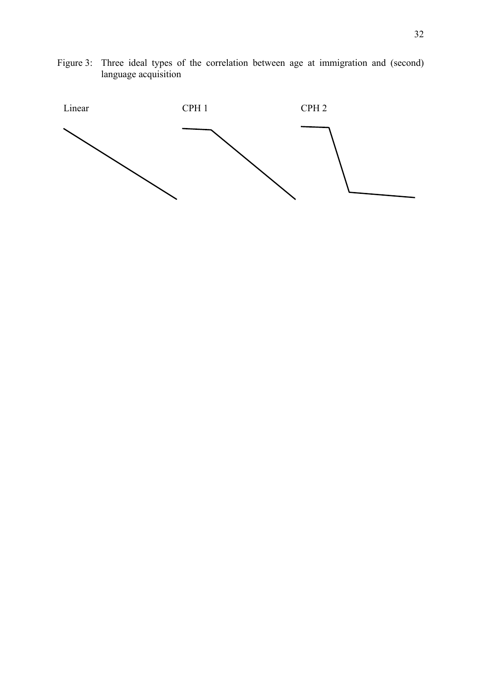Figure 3: Three ideal types of the correlation between age at immigration and (second) language acquisition

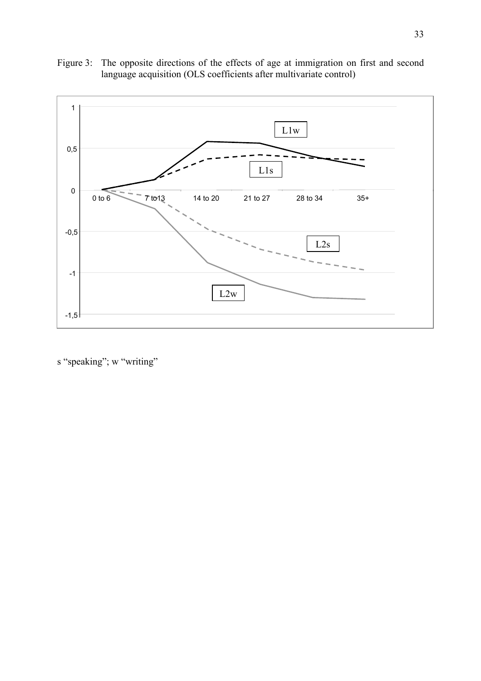



s "speaking"; w "writing"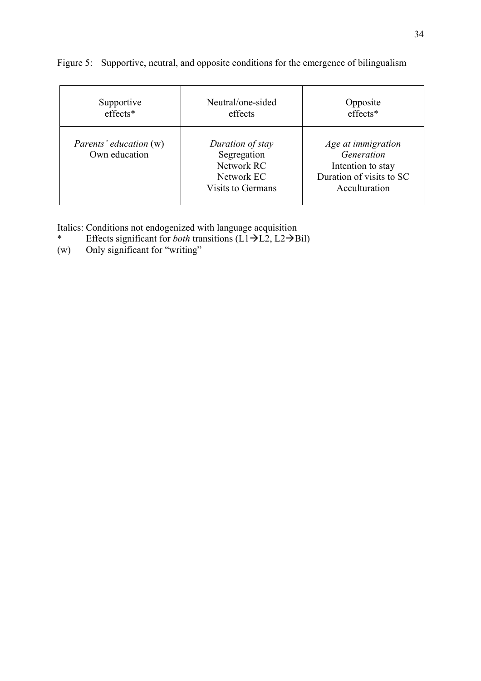| Supportive                                     | Neutral/one-sided                                                                       | Opposite                                                                                           |
|------------------------------------------------|-----------------------------------------------------------------------------------------|----------------------------------------------------------------------------------------------------|
| effects*                                       | effects                                                                                 | effects*                                                                                           |
| <i>Parents' education</i> (w)<br>Own education | Duration of stay<br>Segregation<br>Network RC<br>Network EC<br><b>Visits to Germans</b> | Age at immigration<br>Generation<br>Intention to stay<br>Duration of visits to SC<br>Acculturation |

Figure 5: Supportive, neutral, and opposite conditions for the emergence of bilingualism

Italics: Conditions not endogenized with language acquisition<br>
\* Effects significant for *both* transitions  $(L1\rightarrow L2.12\rightarrow B$ 

- \* Effects significant for *both* transitions  $(L1\rightarrow L2, L2\rightarrow \text{Bil})$
- (w) Only significant for "writing"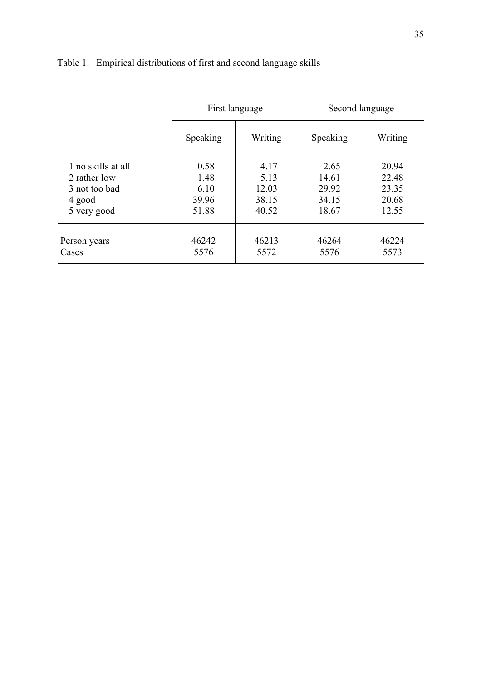|                    |          | First language | Second language |         |  |  |
|--------------------|----------|----------------|-----------------|---------|--|--|
|                    | Speaking | Writing        | Speaking        | Writing |  |  |
| 1 no skills at all | 0.58     | 4.17           | 2.65            | 20.94   |  |  |
| 2 rather low       | 1.48     | 5.13           | 14.61           | 22.48   |  |  |
| 3 not too bad      | 6.10     | 12.03          | 29.92           | 23.35   |  |  |
| 4 good             | 39.96    | 38.15          | 34.15           | 20.68   |  |  |
| 5 very good        | 51.88    | 40.52          | 18.67           | 12.55   |  |  |
| Person years       | 46242    | 46213          | 46264           | 46224   |  |  |
| Cases              | 5576     | 5572           | 5576            | 5573    |  |  |

# Table 1: Empirical distributions of first and second language skills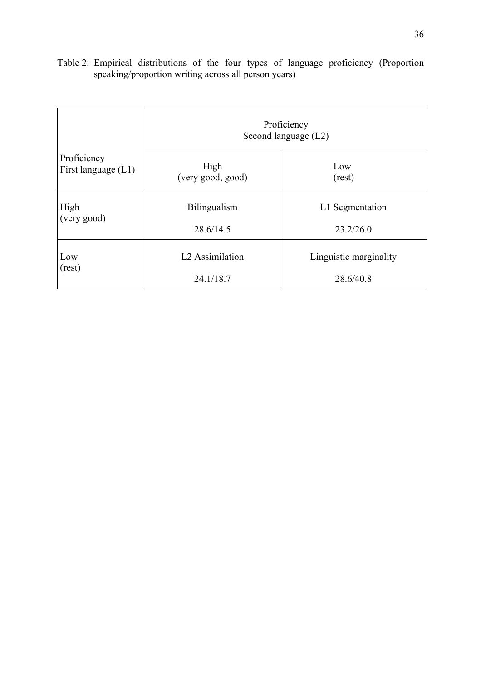Table 2: Empirical distributions of the four types of language proficiency (Proportion speaking/proportion writing across all person years)

|                       | Proficiency<br>Second language (L2) |                        |  |  |  |  |  |  |
|-----------------------|-------------------------------------|------------------------|--|--|--|--|--|--|
| Proficiency           | High                                | Low                    |  |  |  |  |  |  |
| First language $(L1)$ | (very good, good)                   | (rest)                 |  |  |  |  |  |  |
| High                  | Bilingualism                        | L1 Segmentation        |  |  |  |  |  |  |
| (very good)           | 28.6/14.5                           | 23.2/26.0              |  |  |  |  |  |  |
| Low                   | L <sub>2</sub> Assimilation         | Linguistic marginality |  |  |  |  |  |  |
| (rest)                | 24.1/18.7                           | 28.6/40.8              |  |  |  |  |  |  |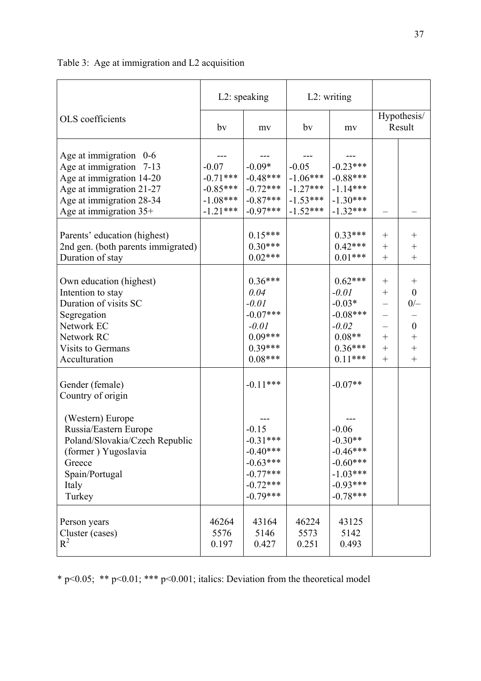|                                                                                                                                                                                           |                                                                 | L2: speaking                                                                                              |                                                                 | L2: writing                                                                                             |                                                                                             |                                                                                                           |  |
|-------------------------------------------------------------------------------------------------------------------------------------------------------------------------------------------|-----------------------------------------------------------------|-----------------------------------------------------------------------------------------------------------|-----------------------------------------------------------------|---------------------------------------------------------------------------------------------------------|---------------------------------------------------------------------------------------------|-----------------------------------------------------------------------------------------------------------|--|
| OLS coefficients                                                                                                                                                                          | by                                                              | my                                                                                                        | by                                                              | mv                                                                                                      |                                                                                             | Hypothesis/<br>Result                                                                                     |  |
| Age at immigration $0-6$<br>Age at immigration 7-13<br>Age at immigration 14-20<br>Age at immigration 21-27<br>Age at immigration 28-34<br>Age at immigration 35+                         | $-0.07$<br>$-0.71***$<br>$-0.85***$<br>$-1.08***$<br>$-1.21***$ | $-0.09*$<br>$-0.48***$<br>$-0.72***$<br>$-0.87***$<br>$-0.97***$                                          | $-0.05$<br>$-1.06***$<br>$-1.27***$<br>$-1.53***$<br>$-1.52***$ | $-0.23***$<br>$-0.88***$<br>$-1.14***$<br>$-1.30***$<br>$-1.32***$                                      |                                                                                             |                                                                                                           |  |
| Parents' education (highest)<br>2nd gen. (both parents immigrated)<br>Duration of stay                                                                                                    |                                                                 | $0.15***$<br>$0.30***$<br>$0.02***$                                                                       |                                                                 | $0.33***$<br>$0.42***$<br>$0.01***$                                                                     | $+$<br>$^{+}$<br>$^{+}$                                                                     | $\hspace{0.1mm} +$<br>$^{+}$<br>$^{+}$                                                                    |  |
| Own education (highest)<br>Intention to stay<br>Duration of visits SC<br>Segregation<br>Network EC<br>Network RC<br>Visits to Germans<br>Acculturation                                    |                                                                 | $0.36***$<br>0.04<br>$-0.01$<br>$-0.07***$<br>$-0.01$<br>$0.09***$<br>$0.39***$<br>$0.08***$              |                                                                 | $0.62***$<br>$-0.01$<br>$-0.03*$<br>$-0.08***$<br>$-0.02$<br>$0.08**$<br>$0.36***$<br>$0.11***$         | $^{+}$<br>$\hspace{0.1mm} +$<br>$\overline{\phantom{0}}$<br>—<br>$^{+}$<br>$^{+}$<br>$^{+}$ | $\hspace{0.1mm} + \hspace{0.1mm}$<br>$\boldsymbol{0}$<br>$0/-$<br>$\boldsymbol{0}$<br>$\! + \!$<br>$^{+}$ |  |
| Gender (female)<br>Country of origin<br>(Western) Europe<br>Russia/Eastern Europe<br>Poland/Slovakia/Czech Republic<br>(former) Yugoslavia<br>Greece<br>Spain/Portugal<br>Italy<br>Turkey |                                                                 | $-0.11***$<br>$-0.15$<br>$-0.31***$<br>$-0.40***$<br>$-0.63***$<br>$-0.77***$<br>$-0.72***$<br>$-0.79***$ |                                                                 | $-0.07**$<br>$-0.06$<br>$-0.30**$<br>$-0.46***$<br>$-0.60***$<br>$-1.03***$<br>$-0.93***$<br>$-0.78***$ |                                                                                             |                                                                                                           |  |
| Person years<br>Cluster (cases)<br>$R^2$                                                                                                                                                  | 46264<br>5576<br>0.197                                          | 43164<br>5146<br>0.427                                                                                    | 46224<br>5573<br>0.251                                          | 43125<br>5142<br>0.493                                                                                  |                                                                                             |                                                                                                           |  |

Table 3: Age at immigration and L2 acquisition

\* p<0.05; \*\* p<0.01; \*\*\* p<0.001; italics: Deviation from the theoretical model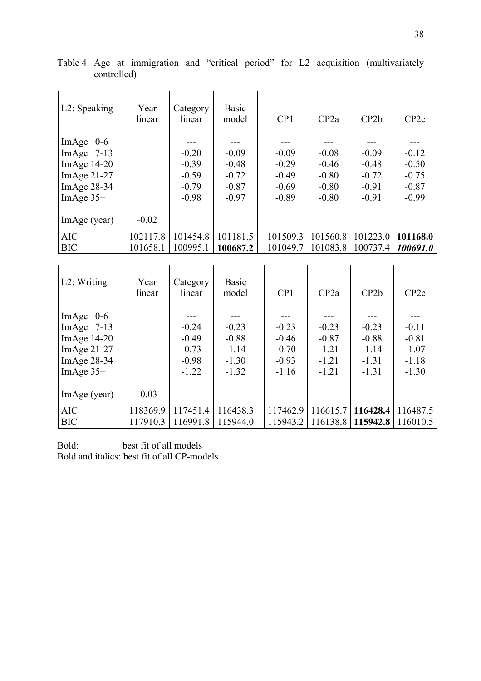| L2: Speaking                                                                                  | Year<br>linear       | Category<br>linear                                  | <b>Basic</b><br>model                               | CP1                                                 | CP2a                                                | CP2b                                                | CP <sub>2c</sub>                                    |
|-----------------------------------------------------------------------------------------------|----------------------|-----------------------------------------------------|-----------------------------------------------------|-----------------------------------------------------|-----------------------------------------------------|-----------------------------------------------------|-----------------------------------------------------|
| ImAge $0-6$<br>ImAge $7-13$<br>ImAge $14-20$<br>ImAge $21-27$<br>ImAge $28-34$<br>ImAge $35+$ |                      | $-0.20$<br>$-0.39$<br>$-0.59$<br>$-0.79$<br>$-0.98$ | $-0.09$<br>$-0.48$<br>$-0.72$<br>$-0.87$<br>$-0.97$ | $-0.09$<br>$-0.29$<br>$-0.49$<br>$-0.69$<br>$-0.89$ | $-0.08$<br>$-0.46$<br>$-0.80$<br>$-0.80$<br>$-0.80$ | $-0.09$<br>$-0.48$<br>$-0.72$<br>$-0.91$<br>$-0.91$ | $-0.12$<br>$-0.50$<br>$-0.75$<br>$-0.87$<br>$-0.99$ |
| ImAge (year)                                                                                  | $-0.02$              |                                                     |                                                     |                                                     |                                                     |                                                     |                                                     |
| <b>AIC</b><br><b>BIC</b>                                                                      | 102117.8<br>101658.1 | 101454.8<br>100995.1                                | 101181.5<br>100687.2                                | 101509.3<br>101049.7                                | 101560.8<br>101083.8                                | 101223.0<br>100737.4                                | 101168.0<br>100691.0                                |

Table 4: Age at immigration and "critical period" for L2 acquisition (multivariately controlled)

| $L2$ : Writing                                                                            | Year<br>linear       | Category<br>linear                                  | <b>Basic</b><br>model                               | CP1                                                 | CP2a                                                | CP2b                                                | CP2c                                                |
|-------------------------------------------------------------------------------------------|----------------------|-----------------------------------------------------|-----------------------------------------------------|-----------------------------------------------------|-----------------------------------------------------|-----------------------------------------------------|-----------------------------------------------------|
| ImAge $0-6$<br>ImAge $7-13$<br>ImAge $14-20$<br>ImAge 21-27<br>ImAge 28-34<br>ImAge $35+$ |                      | $-0.24$<br>$-0.49$<br>$-0.73$<br>$-0.98$<br>$-1.22$ | $-0.23$<br>$-0.88$<br>$-1.14$<br>$-1.30$<br>$-1.32$ | $-0.23$<br>$-0.46$<br>$-0.70$<br>$-0.93$<br>$-1.16$ | $-0.23$<br>$-0.87$<br>$-1.21$<br>$-1.21$<br>$-1.21$ | $-0.23$<br>$-0.88$<br>$-1.14$<br>$-1.31$<br>$-1.31$ | $-0.11$<br>$-0.81$<br>$-1.07$<br>$-1.18$<br>$-1.30$ |
| ImAge (year)                                                                              | $-0.03$              |                                                     |                                                     |                                                     |                                                     |                                                     |                                                     |
| <b>AIC</b><br><b>BIC</b>                                                                  | 118369.9<br>117910.3 | 117451.4<br>116991.8                                | 116438.3<br>115944.0                                | 117462.9<br>115943.2                                | 116615.7<br>116138.8                                | 116428.4<br>115942.8                                | 116487.5<br>116010.5                                |

Bold: best fit of all models Bold and italics: best fit of all CP-models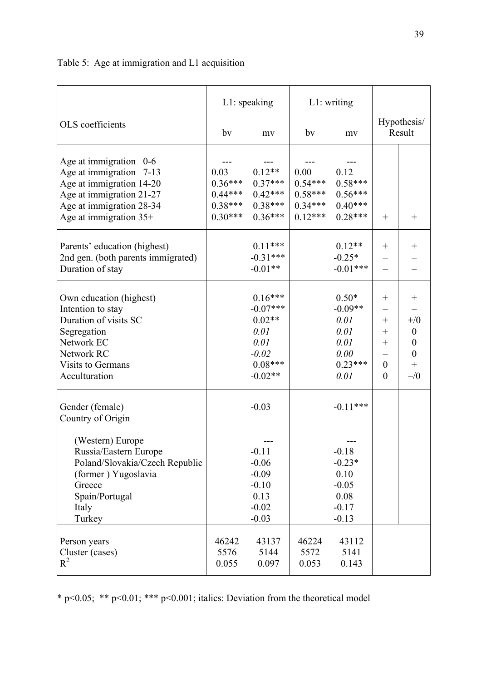|                                                                                                                                                                                           |                                                          | $L1$ : speaking                                                                          |                                                          | $L1$ : writing                                                                     |                                                                                  |                                                                                          |
|-------------------------------------------------------------------------------------------------------------------------------------------------------------------------------------------|----------------------------------------------------------|------------------------------------------------------------------------------------------|----------------------------------------------------------|------------------------------------------------------------------------------------|----------------------------------------------------------------------------------|------------------------------------------------------------------------------------------|
| OLS coefficients                                                                                                                                                                          | bv                                                       | mv                                                                                       | by                                                       | my                                                                                 | Hypothesis/<br>Result                                                            |                                                                                          |
| Age at immigration $0-6$<br>Age at immigration 7-13<br>Age at immigration 14-20<br>Age at immigration 21-27<br>Age at immigration 28-34<br>Age at immigration 35+                         | 0.03<br>$0.36***$<br>$0.44***$<br>$0.38***$<br>$0.30***$ | $0.12**$<br>$0.37***$<br>$0.42***$<br>$0.38***$<br>$0.36***$                             | 0.00<br>$0.54***$<br>$0.58***$<br>$0.34***$<br>$0.12***$ | 0.12<br>$0.58***$<br>$0.56***$<br>$0.40***$<br>$0.28***$                           | $^{+}$                                                                           | $^{+}$                                                                                   |
| Parents' education (highest)<br>2nd gen. (both parents immigrated)<br>Duration of stay                                                                                                    |                                                          | $0.11***$<br>$-0.31***$<br>$-0.01**$                                                     |                                                          | $0.12**$<br>$-0.25*$<br>$-0.01***$                                                 | $\mathrm{+}$                                                                     |                                                                                          |
| Own education (highest)<br>Intention to stay<br>Duration of visits SC<br>Segregation<br>Network EC<br>Network RC<br>Visits to Germans<br>Acculturation                                    |                                                          | $0.16***$<br>$-0.07***$<br>$0.02**$<br>0.01<br>0.01<br>$-0.02$<br>$0.08***$<br>$-0.02**$ |                                                          | $0.50*$<br>$-0.09**$<br>0.01<br>0.01<br>0.01<br>0.00<br>$0.23***$<br>0.01          | $^{+}$<br>-<br>$\hspace{0.1mm} +$<br>$^{+}$<br>$+$<br>$\overline{0}$<br>$\theta$ | $^{+}$<br>$^{+/0}$<br>$\boldsymbol{0}$<br>$\boldsymbol{0}$<br>$\boldsymbol{0}$<br>$-1/0$ |
| Gender (female)<br>Country of Origin<br>(Western) Europe<br>Russia/Eastern Europe<br>Poland/Slovakia/Czech Republic<br>(former) Yugoslavia<br>Greece<br>Spain/Portugal<br>Italy<br>Turkey |                                                          | $-0.03$<br>$-0.11$<br>$-0.06$<br>$-0.09$<br>$-0.10$<br>0.13<br>$-0.02$<br>$-0.03$        |                                                          | $-0.11***$<br>$-0.18$<br>$-0.23*$<br>0.10<br>$-0.05$<br>0.08<br>$-0.17$<br>$-0.13$ |                                                                                  |                                                                                          |
| Person years<br>Cluster (cases)<br>$R^2$                                                                                                                                                  | 46242<br>5576<br>0.055                                   | 43137<br>5144<br>0.097                                                                   | 46224<br>5572<br>0.053                                   | 43112<br>5141<br>0.143                                                             |                                                                                  |                                                                                          |

Table 5: Age at immigration and L1 acquisition

\* p<0.05; \*\* p<0.01; \*\*\* p<0.001; italics: Deviation from the theoretical model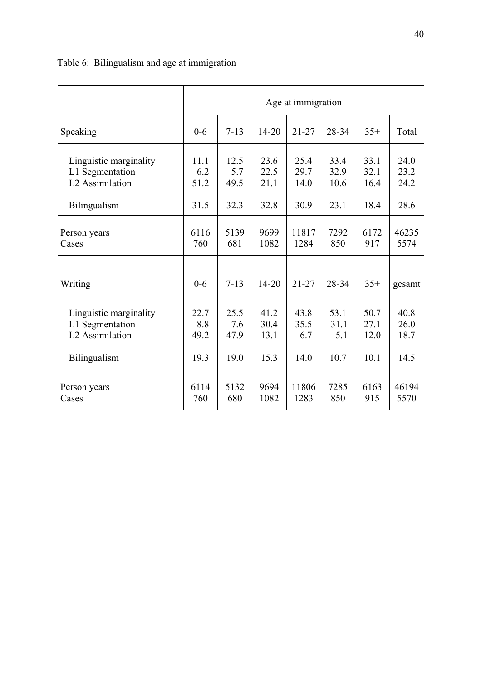|                             | Age at immigration |          |           |           |       |       |        |  |  |
|-----------------------------|--------------------|----------|-----------|-----------|-------|-------|--------|--|--|
| Speaking                    | $0 - 6$            | $7 - 13$ | $14 - 20$ | $21 - 27$ | 28-34 | $35+$ | Total  |  |  |
| Linguistic marginality      | 11.1               | 12.5     | 23.6      | 25.4      | 33.4  | 33.1  | 24.0   |  |  |
| L1 Segmentation             | 6.2                | 5.7      | 22.5      | 29.7      | 32.9  | 32.1  | 23.2   |  |  |
| L2 Assimilation             | 51.2               | 49.5     | 21.1      | 14.0      | 10.6  | 16.4  | 24.2   |  |  |
| Bilingualism                | 31.5               | 32.3     | 32.8      | 30.9      | 23.1  | 18.4  | 28.6   |  |  |
| Person years                | 6116               | 5139     | 9699      | 11817     | 7292  | 6172  | 46235  |  |  |
| Cases                       | 760                | 681      | 1082      | 1284      | 850   | 917   | 5574   |  |  |
|                             |                    |          |           |           |       |       |        |  |  |
| Writing                     | $0 - 6$            | $7 - 13$ | $14 - 20$ | $21 - 27$ | 28-34 | $35+$ | gesamt |  |  |
| Linguistic marginality      | 22.7               | 25.5     | 41.2      | 43.8      | 53.1  | 50.7  | 40.8   |  |  |
| L1 Segmentation             | 8.8                | 7.6      | 30.4      | 35.5      | 31.1  | 27.1  | 26.0   |  |  |
| L <sub>2</sub> Assimilation | 49.2               | 47.9     | 13.1      | 6.7       | 5.1   | 12.0  | 18.7   |  |  |
| Bilingualism                | 19.3               | 19.0     | 15.3      | 14.0      | 10.7  | 10.1  | 14.5   |  |  |
| Person years                | 6114               | 5132     | 9694      | 11806     | 7285  | 6163  | 46194  |  |  |
| Cases                       | 760                | 680      | 1082      | 1283      | 850   | 915   | 5570   |  |  |

# Table 6: Bilingualism and age at immigration